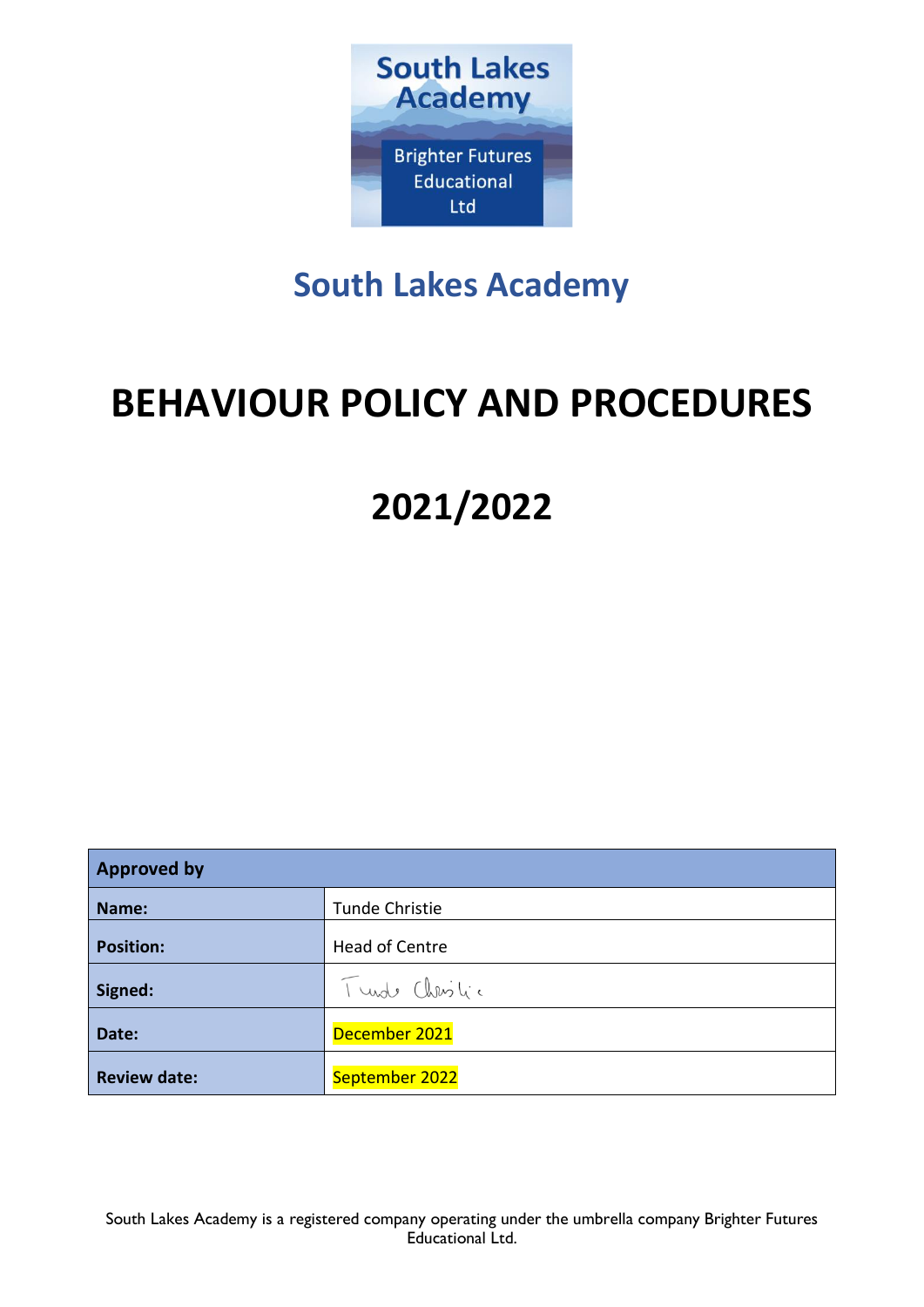

# **South Lakes Academy**

# **BEHAVIOUR POLICY AND PROCEDURES**

# **2021/2022**

| <b>Approved by</b>  |                       |  |
|---------------------|-----------------------|--|
| Name:               | Tunde Christie        |  |
| <b>Position:</b>    | <b>Head of Centre</b> |  |
| Signed:             | Turste Christic       |  |
| Date:               | December 2021         |  |
| <b>Review date:</b> | September 2022        |  |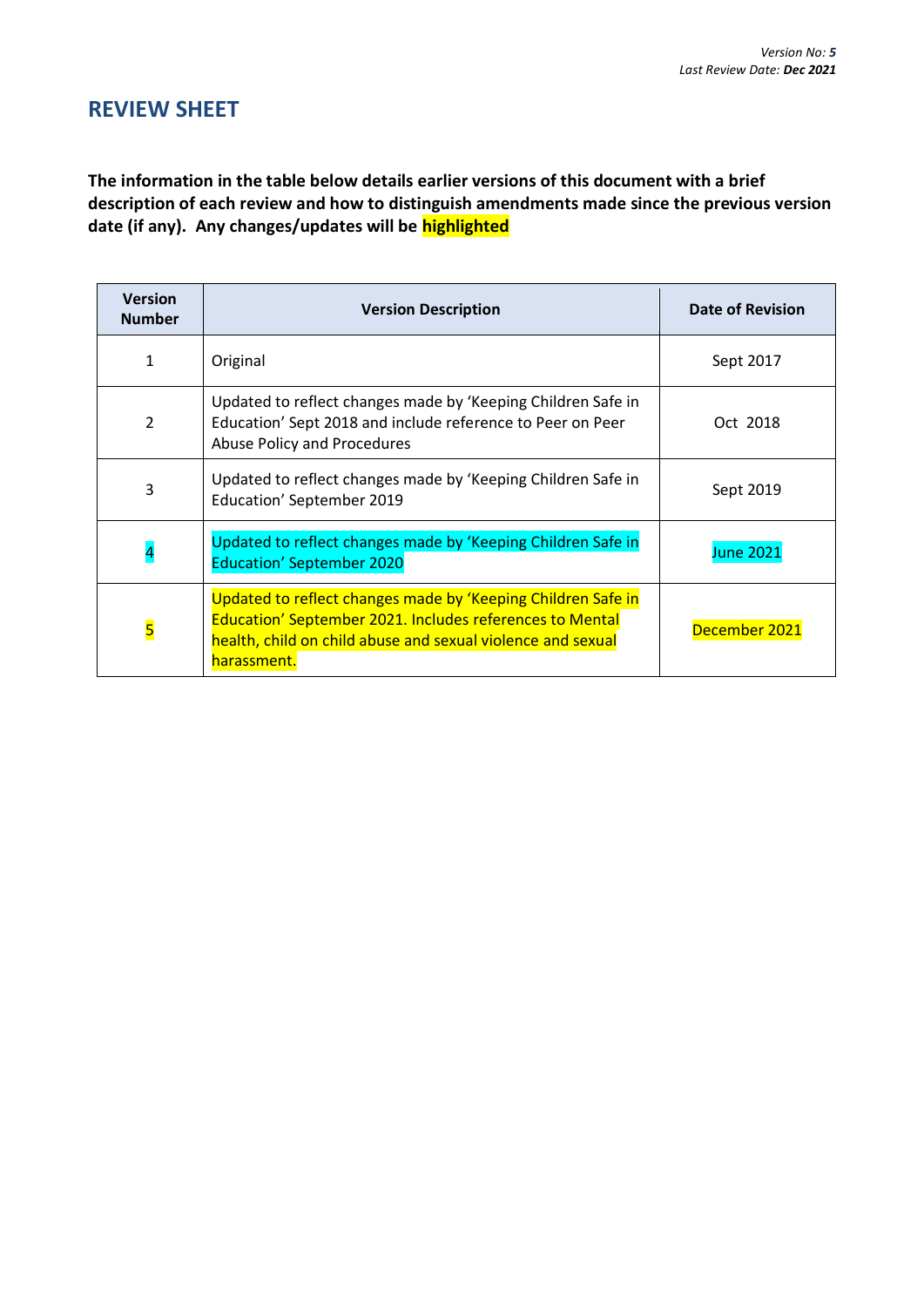## **REVIEW SHEET**

**The information in the table below details earlier versions of this document with a brief description of each review and how to distinguish amendments made since the previous version date (if any). Any changes/updates will be highlighted**

| <b>Version</b><br><b>Number</b> | <b>Version Description</b>                                                                                                                                                                             | <b>Date of Revision</b> |
|---------------------------------|--------------------------------------------------------------------------------------------------------------------------------------------------------------------------------------------------------|-------------------------|
| 1                               | Original                                                                                                                                                                                               | Sept 2017               |
| $\overline{2}$                  | Updated to reflect changes made by 'Keeping Children Safe in<br>Education' Sept 2018 and include reference to Peer on Peer<br><b>Abuse Policy and Procedures</b>                                       | Oct 2018                |
| 3                               | Updated to reflect changes made by 'Keeping Children Safe in<br>Education' September 2019                                                                                                              | Sept 2019               |
|                                 | Updated to reflect changes made by 'Keeping Children Safe in<br><b>Education' September 2020</b>                                                                                                       | <b>June 2021</b>        |
| $\overline{\mathbf{5}}$         | Updated to reflect changes made by 'Keeping Children Safe in<br>Education' September 2021. Includes references to Mental<br>health, child on child abuse and sexual violence and sexual<br>harassment. | December 2021           |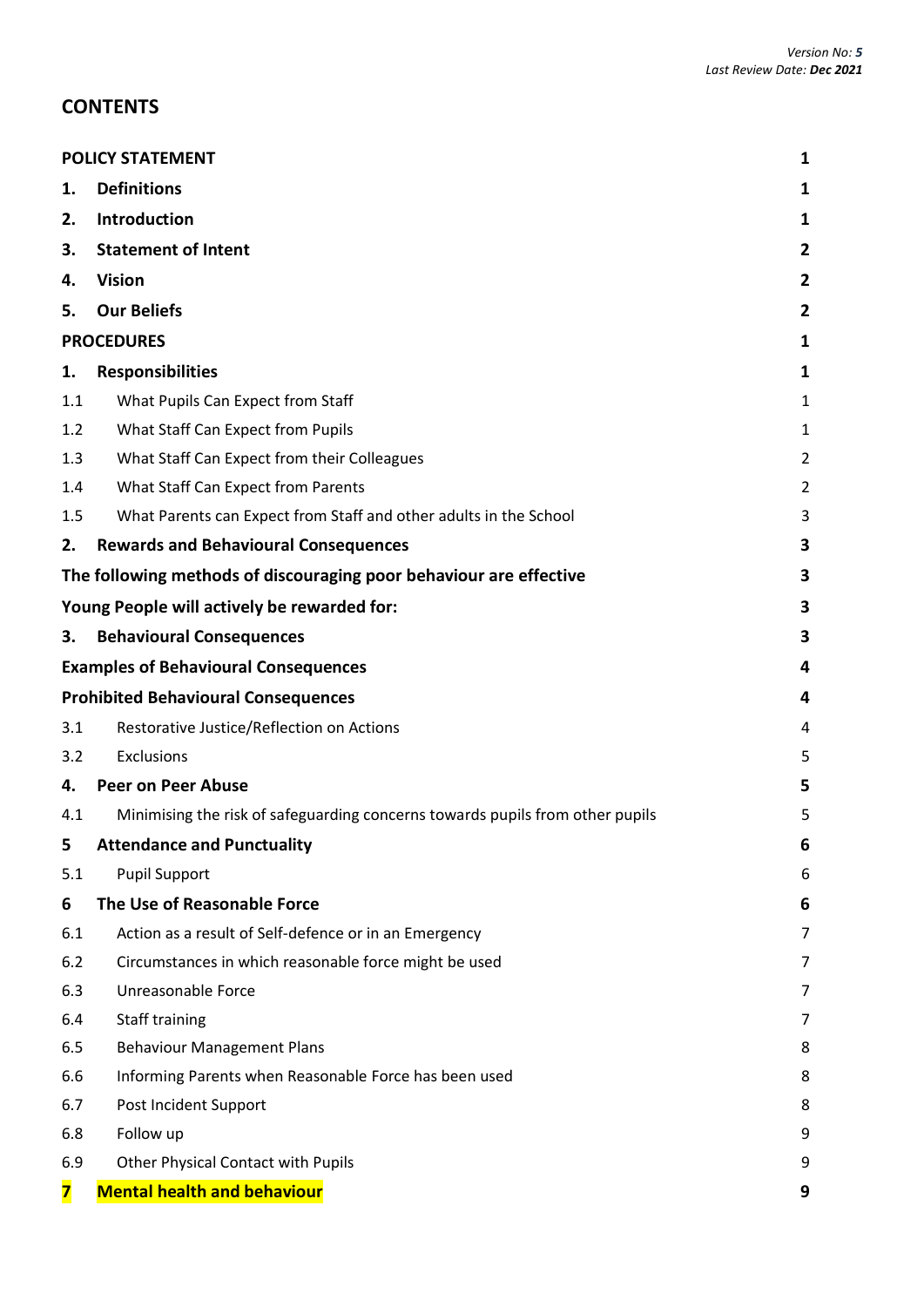## **CONTENTS**

|                                            | <b>POLICY STATEMENT</b>                                                       |                |
|--------------------------------------------|-------------------------------------------------------------------------------|----------------|
| 1.                                         | <b>Definitions</b>                                                            | 1              |
| 2.                                         | Introduction                                                                  | 1              |
| 3.                                         | <b>Statement of Intent</b>                                                    | 2              |
| 4.                                         | <b>Vision</b>                                                                 | $\mathbf{2}$   |
| 5.                                         | <b>Our Beliefs</b>                                                            | $\overline{2}$ |
|                                            | <b>PROCEDURES</b>                                                             |                |
| 1.                                         | <b>Responsibilities</b>                                                       | 1              |
| 1.1                                        | What Pupils Can Expect from Staff                                             | 1              |
| 1.2                                        | What Staff Can Expect from Pupils                                             | 1              |
| 1.3                                        | What Staff Can Expect from their Colleagues                                   | $\overline{2}$ |
| 1.4                                        | What Staff Can Expect from Parents                                            | $\overline{2}$ |
| 1.5                                        | What Parents can Expect from Staff and other adults in the School             | 3              |
| 2.                                         | <b>Rewards and Behavioural Consequences</b>                                   | 3              |
|                                            | The following methods of discouraging poor behaviour are effective            | 3              |
|                                            | Young People will actively be rewarded for:                                   | 3              |
| 3.                                         | <b>Behavioural Consequences</b>                                               | 3              |
|                                            | <b>Examples of Behavioural Consequences</b>                                   | 4              |
| <b>Prohibited Behavioural Consequences</b> |                                                                               | 4              |
| 3.1                                        | Restorative Justice/Reflection on Actions                                     | 4              |
| 3.2                                        | Exclusions                                                                    | 5              |
| 4.                                         | <b>Peer on Peer Abuse</b>                                                     | 5              |
| 4.1                                        | Minimising the risk of safeguarding concerns towards pupils from other pupils | 5              |
| 5                                          | <b>Attendance and Punctuality</b>                                             | b              |
| 5.1                                        | <b>Pupil Support</b>                                                          | 6              |
| 6                                          | The Use of Reasonable Force                                                   | 6              |
| 6.1                                        | Action as a result of Self-defence or in an Emergency                         | 7              |
| 6.2                                        | Circumstances in which reasonable force might be used                         | 7              |
| 6.3                                        | Unreasonable Force                                                            | 7              |
| 6.4                                        | Staff training                                                                | 7              |
| 6.5                                        | <b>Behaviour Management Plans</b>                                             | 8              |
| 6.6                                        | Informing Parents when Reasonable Force has been used                         | 8              |
| 6.7                                        | Post Incident Support                                                         | 8              |
| 6.8                                        | Follow up                                                                     | 9              |
| 6.9                                        | Other Physical Contact with Pupils                                            | 9              |
| 7                                          | <b>Mental health and behaviour</b>                                            | 9              |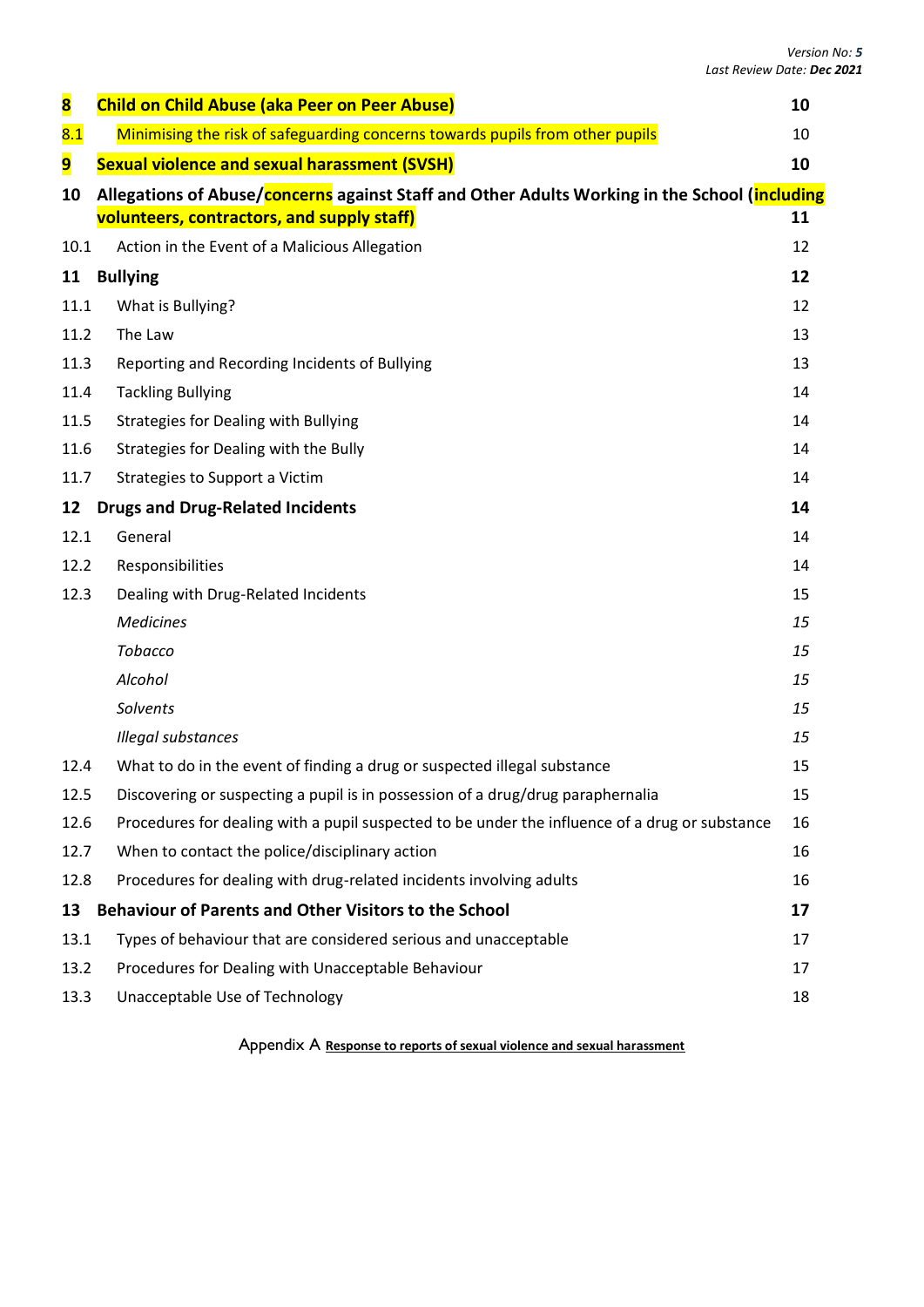| <b>Child on Child Abuse (aka Peer on Peer Abuse)</b>                                                   | 10 |  |
|--------------------------------------------------------------------------------------------------------|----|--|
| Minimising the risk of safeguarding concerns towards pupils from other pupils                          | 10 |  |
| <b>Sexual violence and sexual harassment (SVSH)</b>                                                    | 10 |  |
| Allegations of Abuse/concerns against Staff and Other Adults Working in the School (including          |    |  |
| volunteers, contractors, and supply staff)                                                             | 11 |  |
| 10.1<br>Action in the Event of a Malicious Allegation                                                  | 12 |  |
| <b>Bullying</b>                                                                                        | 12 |  |
| What is Bullying?                                                                                      | 12 |  |
| The Law<br>11.2                                                                                        | 13 |  |
| Reporting and Recording Incidents of Bullying                                                          | 13 |  |
| 11.4<br><b>Tackling Bullying</b>                                                                       | 14 |  |
| <b>Strategies for Dealing with Bullying</b>                                                            | 14 |  |
| 11.6<br>Strategies for Dealing with the Bully                                                          | 14 |  |
| 11.7<br>Strategies to Support a Victim                                                                 | 14 |  |
| <b>Drugs and Drug-Related Incidents</b>                                                                | 14 |  |
| General                                                                                                | 14 |  |
| Responsibilities                                                                                       | 14 |  |
| Dealing with Drug-Related Incidents<br>12.3                                                            | 15 |  |
| <b>Medicines</b>                                                                                       | 15 |  |
| Tobacco                                                                                                | 15 |  |
| Alcohol                                                                                                | 15 |  |
| Solvents                                                                                               | 15 |  |
| Illegal substances                                                                                     | 15 |  |
| What to do in the event of finding a drug or suspected illegal substance<br>12.4                       | 15 |  |
| Discovering or suspecting a pupil is in possession of a drug/drug paraphernalia<br>12.5                | 15 |  |
| 12.6<br>Procedures for dealing with a pupil suspected to be under the influence of a drug or substance | 16 |  |
| When to contact the police/disciplinary action<br>12.7                                                 | 16 |  |
| 12.8<br>Procedures for dealing with drug-related incidents involving adults                            | 16 |  |
| <b>Behaviour of Parents and Other Visitors to the School</b>                                           | 17 |  |
| Types of behaviour that are considered serious and unacceptable                                        | 17 |  |
| Procedures for Dealing with Unacceptable Behaviour<br>13.2                                             | 17 |  |
| Unacceptable Use of Technology<br>13.3                                                                 | 18 |  |
|                                                                                                        |    |  |

Appendix A **Response to reports of sexual violence and sexual harassment**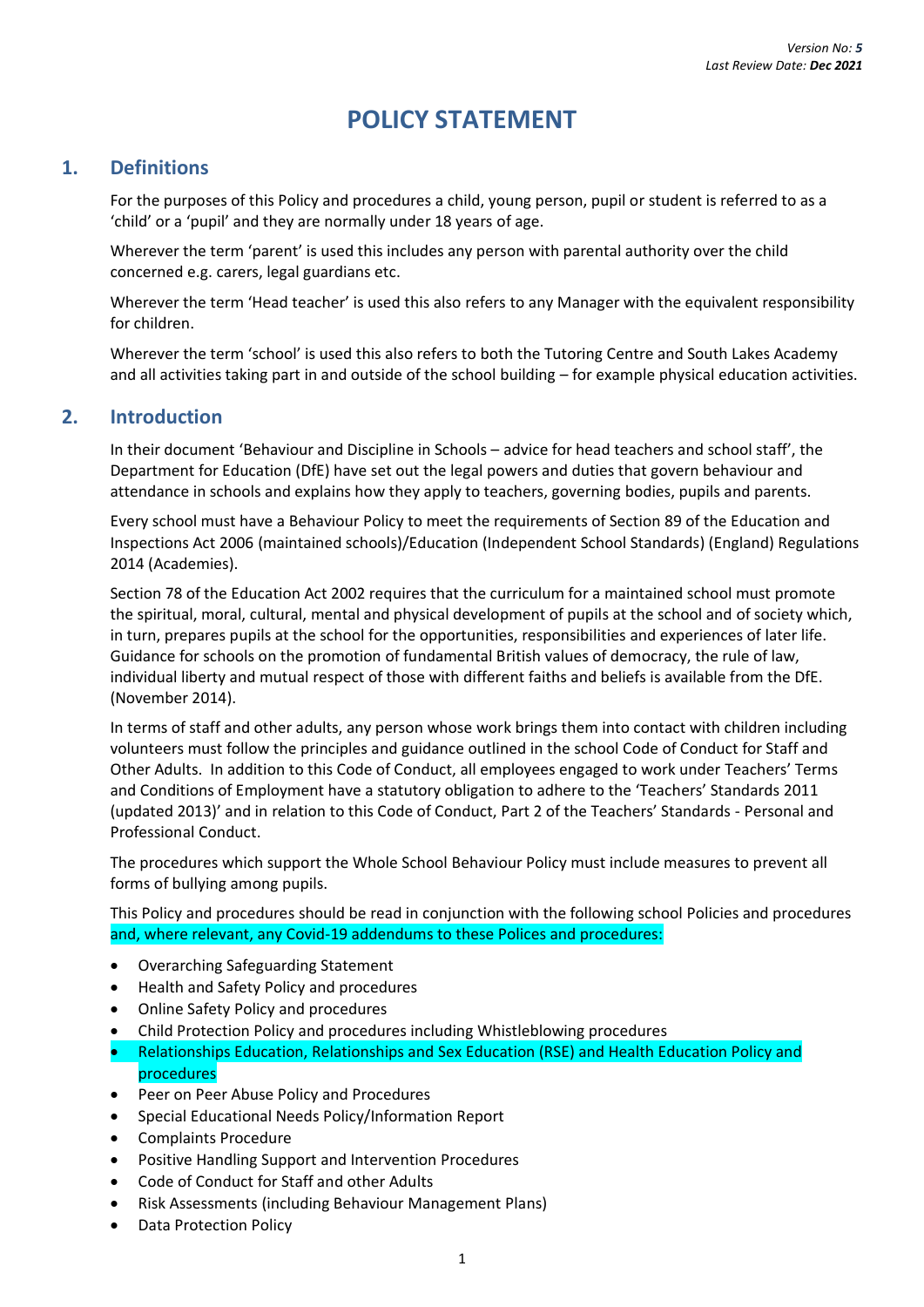## **POLICY STATEMENT**

## <span id="page-4-1"></span><span id="page-4-0"></span>**1. Definitions**

For the purposes of this Policy and procedures a child, young person, pupil or student is referred to as a 'child' or a 'pupil' and they are normally under 18 years of age.

Wherever the term 'parent' is used this includes any person with parental authority over the child concerned e.g. carers, legal guardians etc.

Wherever the term 'Head teacher' is used this also refers to any Manager with the equivalent responsibility for children.

Wherever the term 'school' is used this also refers to both the Tutoring Centre and South Lakes Academy and all activities taking part in and outside of the school building – for example physical education activities.

## <span id="page-4-2"></span>**2. Introduction**

In their document 'Behaviour and Discipline in Schools – advice for head teachers and school staff', the Department for Education (DfE) have set out the legal powers and duties that govern behaviour and attendance in schools and explains how they apply to teachers, governing bodies, pupils and parents.

Every school must have a Behaviour Policy to meet the requirements of Section 89 of the Education and Inspections Act 2006 (maintained schools)/Education (Independent School Standards) (England) Regulations 2014 (Academies).

Section 78 of the Education Act 2002 requires that the curriculum for a maintained school must promote the spiritual, moral, cultural, mental and physical development of pupils at the school and of society which, in turn, prepares pupils at the school for the opportunities, responsibilities and experiences of later life. Guidance for schools on the promotion of fundamental British values of democracy, the rule of law, individual liberty and mutual respect of those with different faiths and beliefs is available from the DfE. (November 2014).

In terms of staff and other adults, any person whose work brings them into contact with children including volunteers must follow the principles and guidance outlined in the school Code of Conduct for Staff and Other Adults. In addition to this Code of Conduct, all employees engaged to work under Teachers' Terms and Conditions of Employment have a statutory obligation to adhere to the 'Teachers' Standards 2011 (updated 2013)' and in relation to this Code of Conduct, Part 2 of the Teachers' Standards - Personal and Professional Conduct.

The procedures which support the Whole School Behaviour Policy must include measures to prevent all forms of bullying among pupils.

This Policy and procedures should be read in conjunction with the following school Policies and procedures and, where relevant, any Covid-19 addendums to these Polices and procedures:

- Overarching Safeguarding Statement
- Health and Safety Policy and procedures
- Online Safety Policy and procedures
- Child Protection Policy and procedures including Whistleblowing procedures
- Relationships Education, Relationships and Sex Education (RSE) and Health Education Policy and procedures
- Peer on Peer Abuse Policy and Procedures
- Special Educational Needs Policy/Information Report
- Complaints Procedure
- Positive Handling Support and Intervention Procedures
- Code of Conduct for Staff and other Adults
- Risk Assessments (including Behaviour Management Plans)
- Data Protection Policy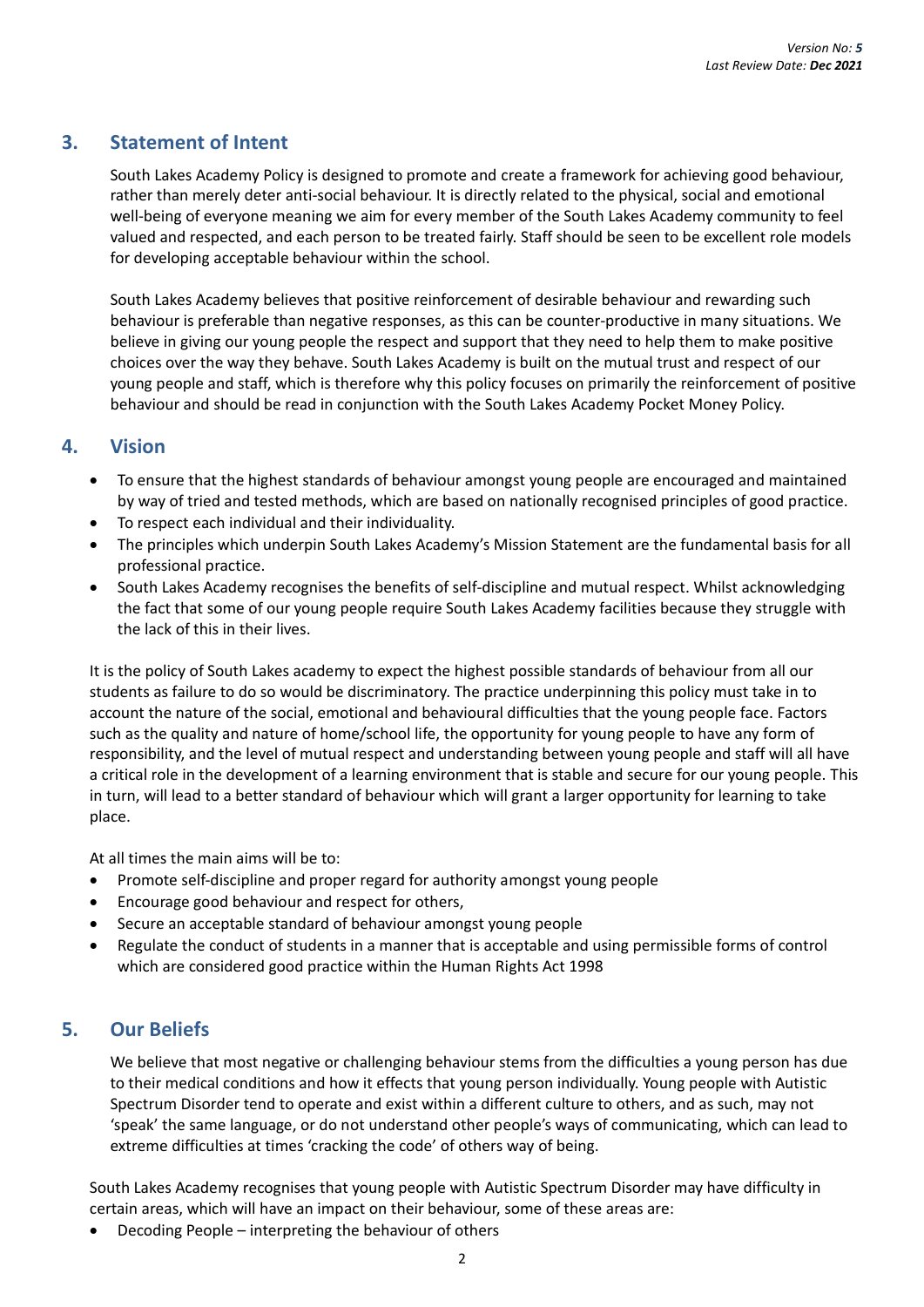## <span id="page-5-0"></span>**3. Statement of Intent**

South Lakes Academy Policy is designed to promote and create a framework for achieving good behaviour, rather than merely deter anti-social behaviour. It is directly related to the physical, social and emotional well-being of everyone meaning we aim for every member of the South Lakes Academy community to feel valued and respected, and each person to be treated fairly. Staff should be seen to be excellent role models for developing acceptable behaviour within the school.

South Lakes Academy believes that positive reinforcement of desirable behaviour and rewarding such behaviour is preferable than negative responses, as this can be counter-productive in many situations. We believe in giving our young people the respect and support that they need to help them to make positive choices over the way they behave. South Lakes Academy is built on the mutual trust and respect of our young people and staff, which is therefore why this policy focuses on primarily the reinforcement of positive behaviour and should be read in conjunction with the South Lakes Academy Pocket Money Policy.

## <span id="page-5-1"></span>**4. Vision**

- To ensure that the highest standards of behaviour amongst young people are encouraged and maintained by way of tried and tested methods, which are based on nationally recognised principles of good practice.
- To respect each individual and their individuality.
- The principles which underpin South Lakes Academy's Mission Statement are the fundamental basis for all professional practice.
- South Lakes Academy recognises the benefits of self-discipline and mutual respect. Whilst acknowledging the fact that some of our young people require South Lakes Academy facilities because they struggle with the lack of this in their lives.

It is the policy of South Lakes academy to expect the highest possible standards of behaviour from all our students as failure to do so would be discriminatory. The practice underpinning this policy must take in to account the nature of the social, emotional and behavioural difficulties that the young people face. Factors such as the quality and nature of home/school life, the opportunity for young people to have any form of responsibility, and the level of mutual respect and understanding between young people and staff will all have a critical role in the development of a learning environment that is stable and secure for our young people. This in turn, will lead to a better standard of behaviour which will grant a larger opportunity for learning to take place.

At all times the main aims will be to:

- Promote self-discipline and proper regard for authority amongst young people
- Encourage good behaviour and respect for others,
- Secure an acceptable standard of behaviour amongst young people
- Regulate the conduct of students in a manner that is acceptable and using permissible forms of control which are considered good practice within the Human Rights Act 1998

## <span id="page-5-2"></span>**5. Our Beliefs**

We believe that most negative or challenging behaviour stems from the difficulties a young person has due to their medical conditions and how it effects that young person individually. Young people with Autistic Spectrum Disorder tend to operate and exist within a different culture to others, and as such, may not 'speak' the same language, or do not understand other people's ways of communicating, which can lead to extreme difficulties at times 'cracking the code' of others way of being.

South Lakes Academy recognises that young people with Autistic Spectrum Disorder may have difficulty in certain areas, which will have an impact on their behaviour, some of these areas are:

• Decoding People – interpreting the behaviour of others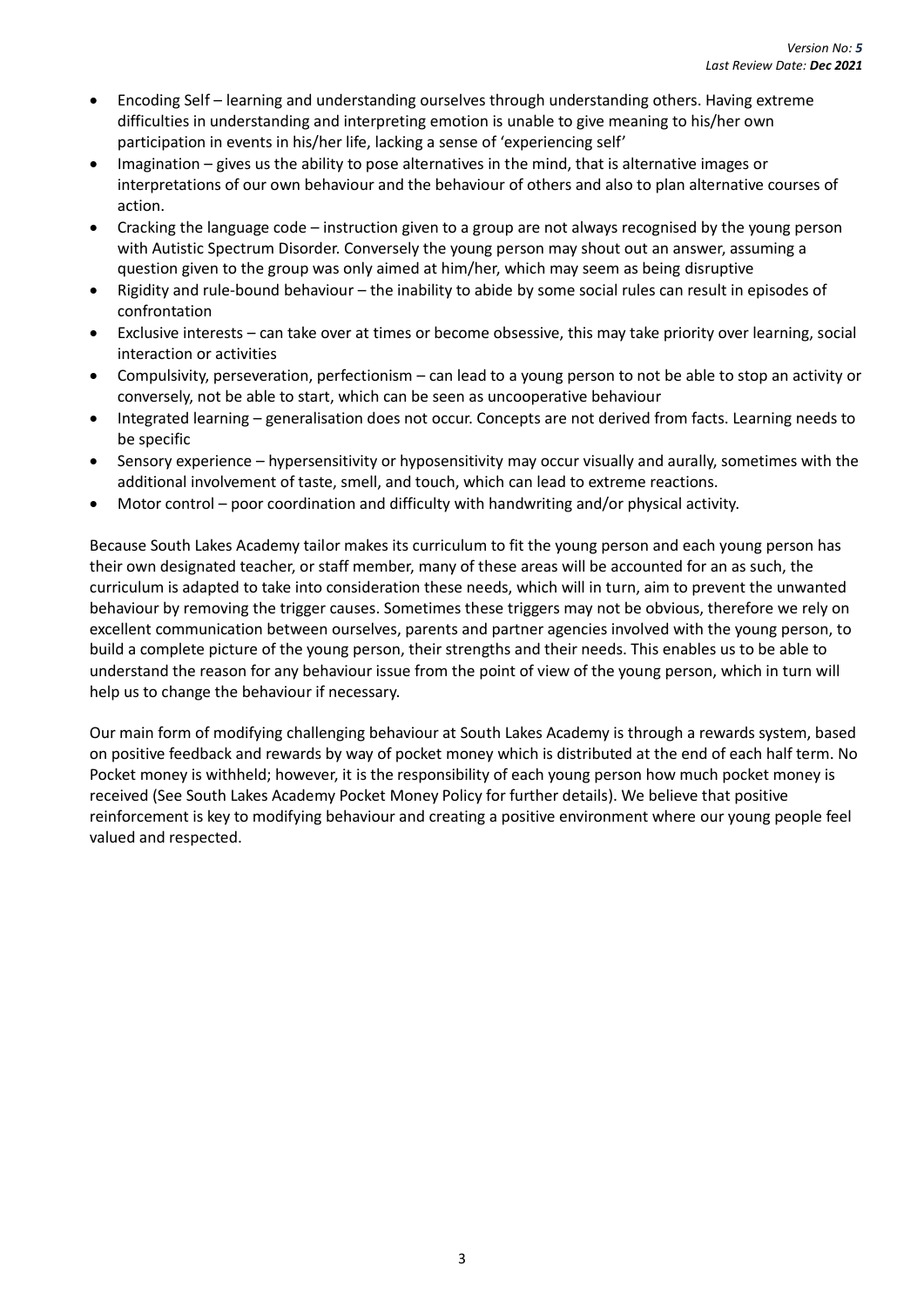- Encoding Self learning and understanding ourselves through understanding others. Having extreme difficulties in understanding and interpreting emotion is unable to give meaning to his/her own participation in events in his/her life, lacking a sense of 'experiencing self'
- Imagination gives us the ability to pose alternatives in the mind, that is alternative images or interpretations of our own behaviour and the behaviour of others and also to plan alternative courses of action.
- Cracking the language code instruction given to a group are not always recognised by the young person with Autistic Spectrum Disorder. Conversely the young person may shout out an answer, assuming a question given to the group was only aimed at him/her, which may seem as being disruptive
- Rigidity and rule-bound behaviour the inability to abide by some social rules can result in episodes of confrontation
- Exclusive interests can take over at times or become obsessive, this may take priority over learning, social interaction or activities
- Compulsivity, perseveration, perfectionism can lead to a young person to not be able to stop an activity or conversely, not be able to start, which can be seen as uncooperative behaviour
- Integrated learning generalisation does not occur. Concepts are not derived from facts. Learning needs to be specific
- Sensory experience hypersensitivity or hyposensitivity may occur visually and aurally, sometimes with the additional involvement of taste, smell, and touch, which can lead to extreme reactions.
- Motor control poor coordination and difficulty with handwriting and/or physical activity.

Because South Lakes Academy tailor makes its curriculum to fit the young person and each young person has their own designated teacher, or staff member, many of these areas will be accounted for an as such, the curriculum is adapted to take into consideration these needs, which will in turn, aim to prevent the unwanted behaviour by removing the trigger causes. Sometimes these triggers may not be obvious, therefore we rely on excellent communication between ourselves, parents and partner agencies involved with the young person, to build a complete picture of the young person, their strengths and their needs. This enables us to be able to understand the reason for any behaviour issue from the point of view of the young person, which in turn will help us to change the behaviour if necessary.

Our main form of modifying challenging behaviour at South Lakes Academy is through a rewards system, based on positive feedback and rewards by way of pocket money which is distributed at the end of each half term. No Pocket money is withheld; however, it is the responsibility of each young person how much pocket money is received (See South Lakes Academy Pocket Money Policy for further details). We believe that positive reinforcement is key to modifying behaviour and creating a positive environment where our young people feel valued and respected.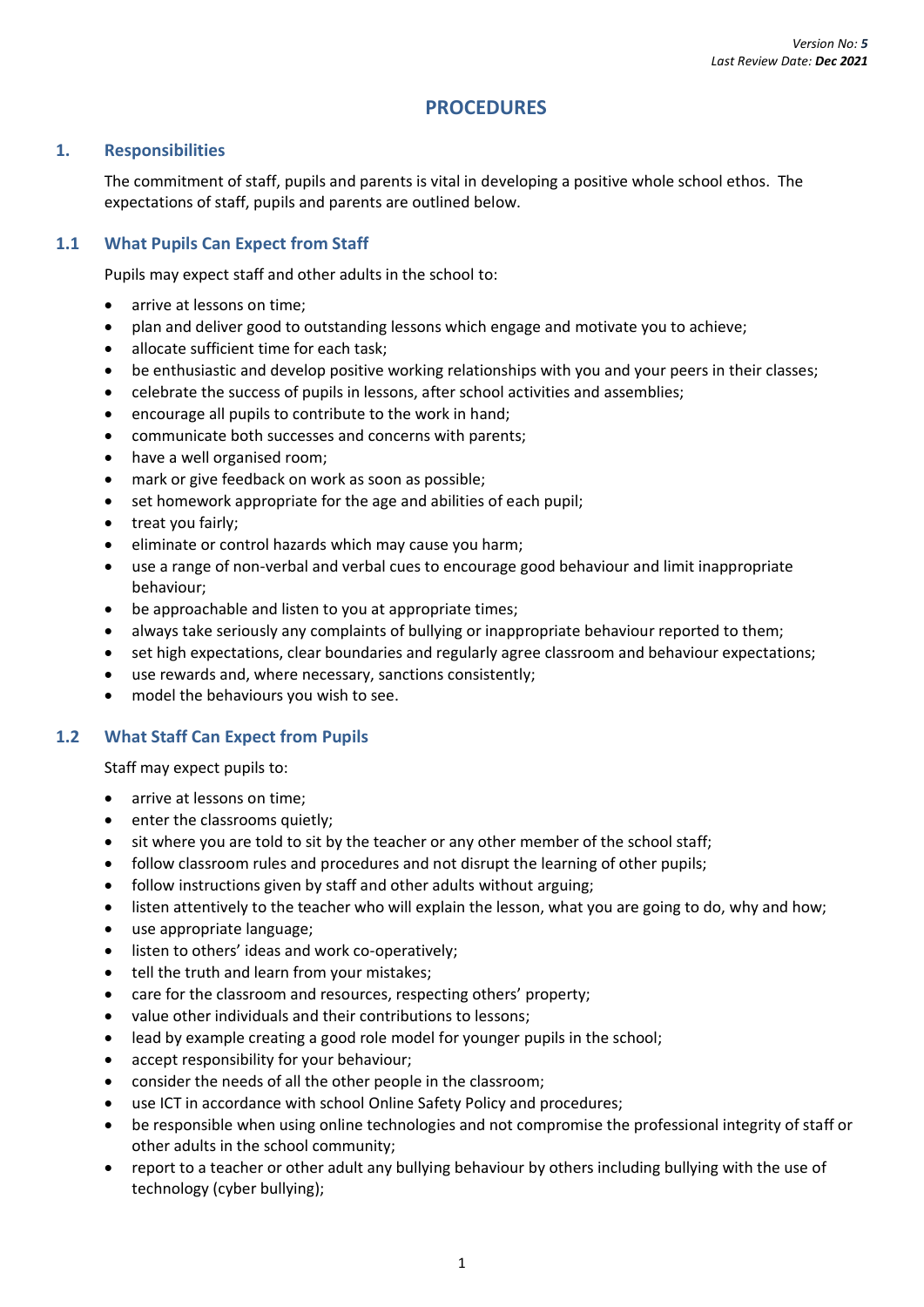### **PROCEDURES**

#### <span id="page-7-1"></span><span id="page-7-0"></span>**1. Responsibilities**

The commitment of staff, pupils and parents is vital in developing a positive whole school ethos. The expectations of staff, pupils and parents are outlined below.

#### <span id="page-7-2"></span>**1.1 What Pupils Can Expect from Staff**

Pupils may expect staff and other adults in the school to:

- arrive at lessons on time;
- plan and deliver good to outstanding lessons which engage and motivate you to achieve;
- allocate sufficient time for each task;
- be enthusiastic and develop positive working relationships with you and your peers in their classes;
- celebrate the success of pupils in lessons, after school activities and assemblies;
- encourage all pupils to contribute to the work in hand;
- communicate both successes and concerns with parents;
- have a well organised room;
- mark or give feedback on work as soon as possible;
- set homework appropriate for the age and abilities of each pupil;
- treat you fairly;
- eliminate or control hazards which may cause you harm;
- use a range of non-verbal and verbal cues to encourage good behaviour and limit inappropriate behaviour;
- be approachable and listen to you at appropriate times;
- always take seriously any complaints of bullying or inappropriate behaviour reported to them;
- set high expectations, clear boundaries and regularly agree classroom and behaviour expectations;
- use rewards and, where necessary, sanctions consistently;
- model the behaviours you wish to see.

#### <span id="page-7-3"></span>**1.2 What Staff Can Expect from Pupils**

Staff may expect pupils to:

- arrive at lessons on time;
- enter the classrooms quietly;
- sit where you are told to sit by the teacher or any other member of the school staff;
- follow classroom rules and procedures and not disrupt the learning of other pupils;
- follow instructions given by staff and other adults without arguing;
- listen attentively to the teacher who will explain the lesson, what you are going to do, why and how;
- use appropriate language;
- listen to others' ideas and work co-operatively;
- tell the truth and learn from your mistakes;
- care for the classroom and resources, respecting others' property;
- value other individuals and their contributions to lessons;
- lead by example creating a good role model for younger pupils in the school;
- accept responsibility for your behaviour;
- consider the needs of all the other people in the classroom;
- use ICT in accordance with school Online Safety Policy and procedures;
- be responsible when using online technologies and not compromise the professional integrity of staff or other adults in the school community;
- report to a teacher or other adult any bullying behaviour by others including bullying with the use of technology (cyber bullying);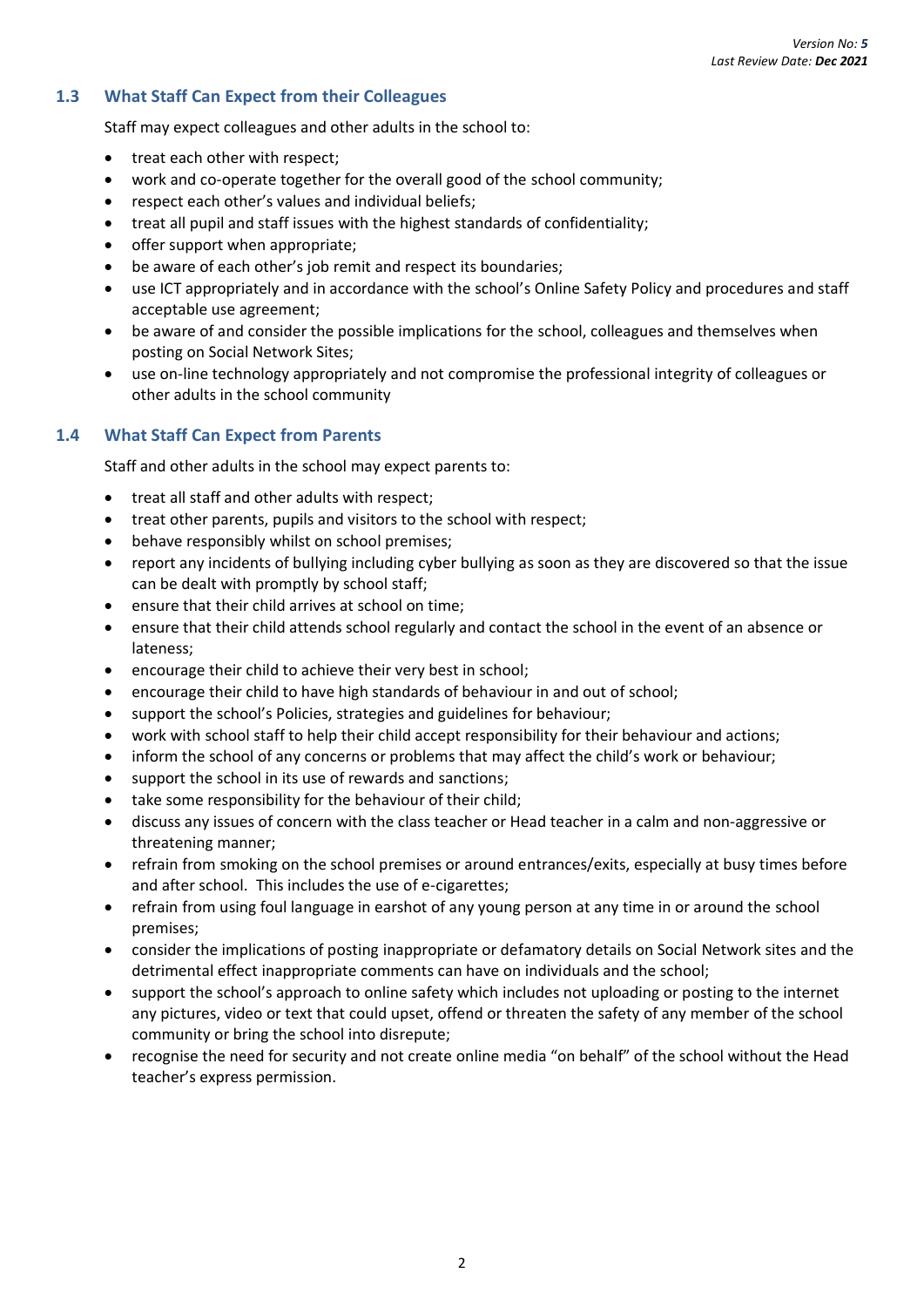#### <span id="page-8-0"></span>**1.3 What Staff Can Expect from their Colleagues**

Staff may expect colleagues and other adults in the school to:

- treat each other with respect;
- work and co-operate together for the overall good of the school community;
- respect each other's values and individual beliefs;
- treat all pupil and staff issues with the highest standards of confidentiality;
- offer support when appropriate;
- be aware of each other's job remit and respect its boundaries;
- use ICT appropriately and in accordance with the school's Online Safety Policy and procedures and staff acceptable use agreement;
- be aware of and consider the possible implications for the school, colleagues and themselves when posting on Social Network Sites;
- use on-line technology appropriately and not compromise the professional integrity of colleagues or other adults in the school community

#### <span id="page-8-1"></span>**1.4 What Staff Can Expect from Parents**

Staff and other adults in the school may expect parents to:

- treat all staff and other adults with respect;
- treat other parents, pupils and visitors to the school with respect;
- behave responsibly whilst on school premises;
- report any incidents of bullying including cyber bullying as soon as they are discovered so that the issue can be dealt with promptly by school staff;
- ensure that their child arrives at school on time;
- ensure that their child attends school regularly and contact the school in the event of an absence or lateness;
- encourage their child to achieve their very best in school;
- encourage their child to have high standards of behaviour in and out of school;
- support the school's Policies, strategies and guidelines for behaviour;
- work with school staff to help their child accept responsibility for their behaviour and actions;
- inform the school of any concerns or problems that may affect the child's work or behaviour;
- support the school in its use of rewards and sanctions;
- take some responsibility for the behaviour of their child;
- discuss any issues of concern with the class teacher or Head teacher in a calm and non-aggressive or threatening manner;
- refrain from smoking on the school premises or around entrances/exits, especially at busy times before and after school. This includes the use of e-cigarettes;
- refrain from using foul language in earshot of any young person at any time in or around the school premises;
- consider the implications of posting inappropriate or defamatory details on Social Network sites and the detrimental effect inappropriate comments can have on individuals and the school;
- support the school's approach to online safety which includes not uploading or posting to the internet any pictures, video or text that could upset, offend or threaten the safety of any member of the school community or bring the school into disrepute;
- recognise the need for security and not create online media "on behalf" of the school without the Head teacher's express permission.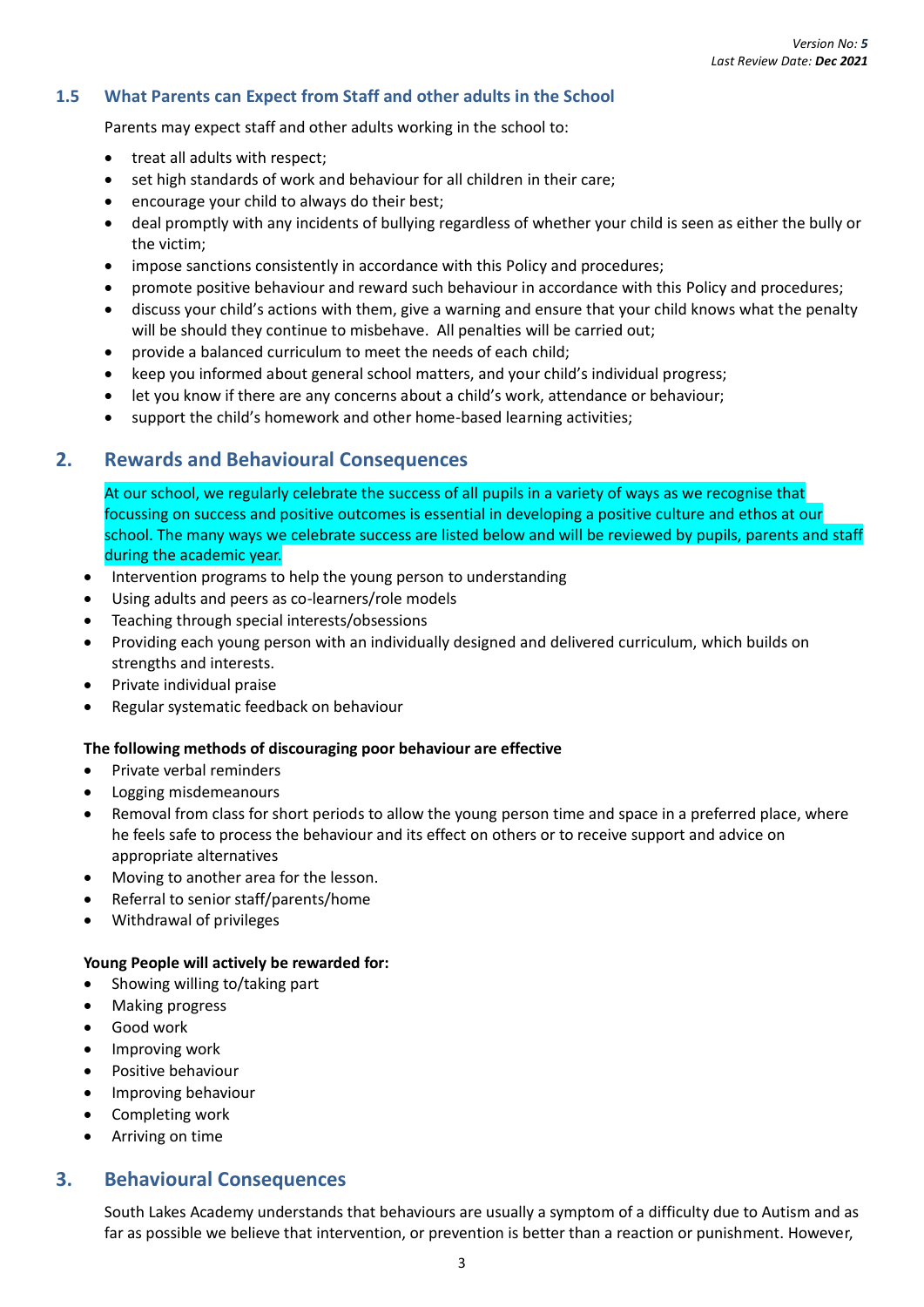#### <span id="page-9-0"></span>**1.5 What Parents can Expect from Staff and other adults in the School**

Parents may expect staff and other adults working in the school to:

- treat all adults with respect;
- set high standards of work and behaviour for all children in their care;
- encourage your child to always do their best;
- deal promptly with any incidents of bullying regardless of whether your child is seen as either the bully or the victim;
- impose sanctions consistently in accordance with this Policy and procedures;
- promote positive behaviour and reward such behaviour in accordance with this Policy and procedures;
- discuss your child's actions with them, give a warning and ensure that your child knows what the penalty will be should they continue to misbehave. All penalties will be carried out;
- provide a balanced curriculum to meet the needs of each child;
- keep you informed about general school matters, and your child's individual progress;
- let you know if there are any concerns about a child's work, attendance or behaviour;
- support the child's homework and other home-based learning activities;

### <span id="page-9-1"></span>**2. Rewards and Behavioural Consequences**

At our school, we regularly celebrate the success of all pupils in a variety of ways as we recognise that focussing on success and positive outcomes is essential in developing a positive culture and ethos at our school. The many ways we celebrate success are listed below and will be reviewed by pupils, parents and staff during the academic year.

- Intervention programs to help the young person to understanding
- Using adults and peers as co-learners/role models
- Teaching through special interests/obsessions
- Providing each young person with an individually designed and delivered curriculum, which builds on strengths and interests.
- Private individual praise
- Regular systematic feedback on behaviour

#### <span id="page-9-2"></span>**The following methods of discouraging poor behaviour are effective**

- Private verbal reminders
- Logging misdemeanours
- Removal from class for short periods to allow the young person time and space in a preferred place, where he feels safe to process the behaviour and its effect on others or to receive support and advice on appropriate alternatives
- Moving to another area for the lesson.
- Referral to senior staff/parents/home
- Withdrawal of privileges

#### <span id="page-9-3"></span>**Young People will actively be rewarded for:**

- Showing willing to/taking part
- Making progress
- Good work
- Improving work
- Positive behaviour
- Improving behaviour
- Completing work
- Arriving on time

## <span id="page-9-4"></span>**3. Behavioural Consequences**

South Lakes Academy understands that behaviours are usually a symptom of a difficulty due to Autism and as far as possible we believe that intervention, or prevention is better than a reaction or punishment. However,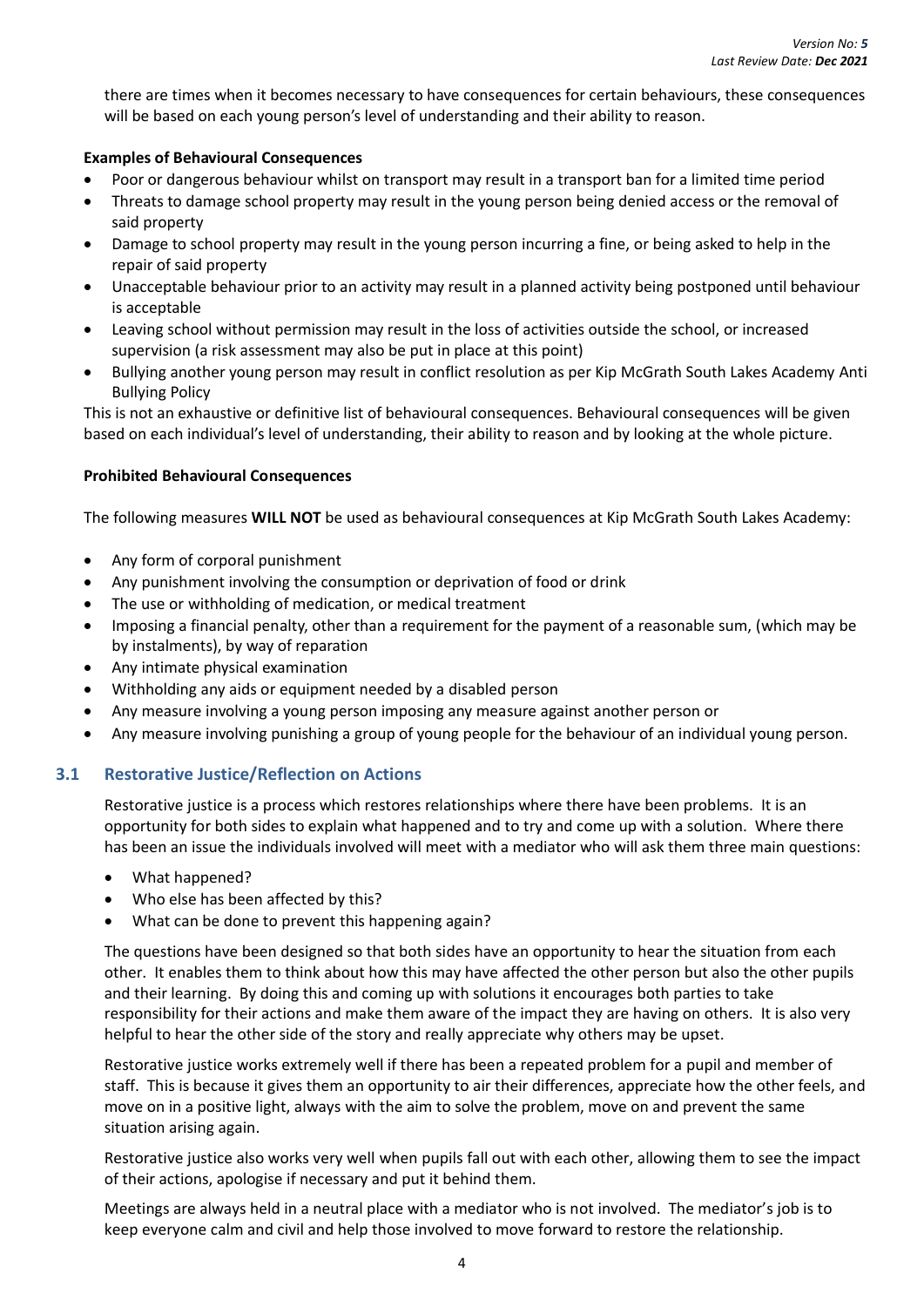there are times when it becomes necessary to have consequences for certain behaviours, these consequences will be based on each young person's level of understanding and their ability to reason.

#### <span id="page-10-0"></span>**Examples of Behavioural Consequences**

- Poor or dangerous behaviour whilst on transport may result in a transport ban for a limited time period
- Threats to damage school property may result in the young person being denied access or the removal of said property
- Damage to school property may result in the young person incurring a fine, or being asked to help in the repair of said property
- Unacceptable behaviour prior to an activity may result in a planned activity being postponed until behaviour is acceptable
- Leaving school without permission may result in the loss of activities outside the school, or increased supervision (a risk assessment may also be put in place at this point)
- Bullying another young person may result in conflict resolution as per Kip McGrath South Lakes Academy Anti Bullying Policy

This is not an exhaustive or definitive list of behavioural consequences. Behavioural consequences will be given based on each individual's level of understanding, their ability to reason and by looking at the whole picture.

#### <span id="page-10-1"></span>**Prohibited Behavioural Consequences**

The following measures **WILL NOT** be used as behavioural consequences at Kip McGrath South Lakes Academy:

- Any form of corporal punishment
- Any punishment involving the consumption or deprivation of food or drink
- The use or withholding of medication, or medical treatment
- Imposing a financial penalty, other than a requirement for the payment of a reasonable sum, (which may be by instalments), by way of reparation
- Any intimate physical examination
- Withholding any aids or equipment needed by a disabled person
- Any measure involving a young person imposing any measure against another person or
- Any measure involving punishing a group of young people for the behaviour of an individual young person.

#### <span id="page-10-2"></span>**3.1 Restorative Justice/Reflection on Actions**

Restorative justice is a process which restores relationships where there have been problems. It is an opportunity for both sides to explain what happened and to try and come up with a solution. Where there has been an issue the individuals involved will meet with a mediator who will ask them three main questions:

- What happened?
- Who else has been affected by this?
- What can be done to prevent this happening again?

The questions have been designed so that both sides have an opportunity to hear the situation from each other. It enables them to think about how this may have affected the other person but also the other pupils and their learning. By doing this and coming up with solutions it encourages both parties to take responsibility for their actions and make them aware of the impact they are having on others. It is also very helpful to hear the other side of the story and really appreciate why others may be upset.

Restorative justice works extremely well if there has been a repeated problem for a pupil and member of staff. This is because it gives them an opportunity to air their differences, appreciate how the other feels, and move on in a positive light, always with the aim to solve the problem, move on and prevent the same situation arising again.

Restorative justice also works very well when pupils fall out with each other, allowing them to see the impact of their actions, apologise if necessary and put it behind them.

Meetings are always held in a neutral place with a mediator who is not involved. The mediator's job is to keep everyone calm and civil and help those involved to move forward to restore the relationship.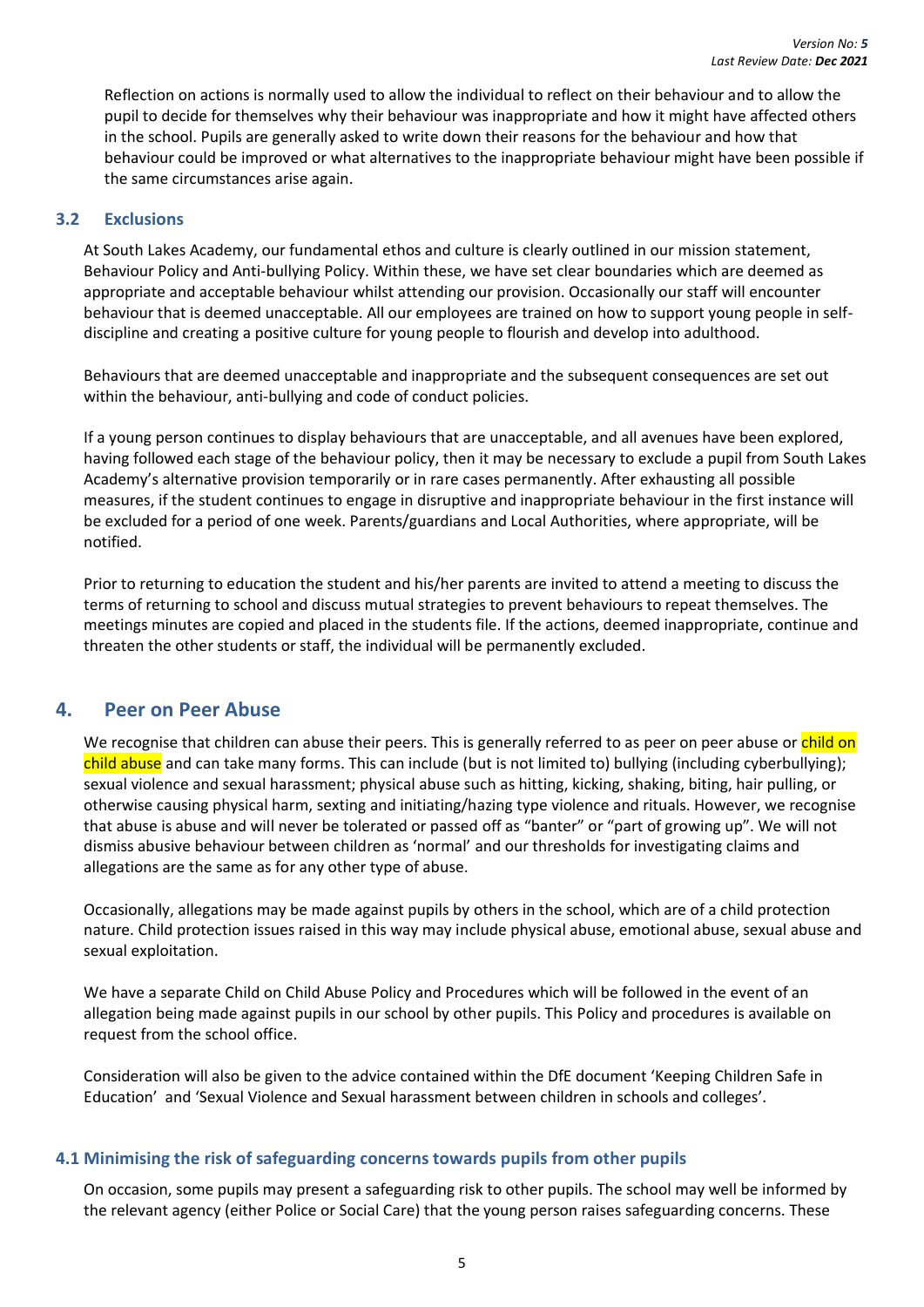Reflection on actions is normally used to allow the individual to reflect on their behaviour and to allow the pupil to decide for themselves why their behaviour was inappropriate and how it might have affected others in the school. Pupils are generally asked to write down their reasons for the behaviour and how that behaviour could be improved or what alternatives to the inappropriate behaviour might have been possible if the same circumstances arise again.

#### <span id="page-11-0"></span>**3.2 Exclusions**

At South Lakes Academy, our fundamental ethos and culture is clearly outlined in our mission statement, Behaviour Policy and Anti-bullying Policy. Within these, we have set clear boundaries which are deemed as appropriate and acceptable behaviour whilst attending our provision. Occasionally our staff will encounter behaviour that is deemed unacceptable. All our employees are trained on how to support young people in selfdiscipline and creating a positive culture for young people to flourish and develop into adulthood.

Behaviours that are deemed unacceptable and inappropriate and the subsequent consequences are set out within the behaviour, anti-bullying and code of conduct policies.

If a young person continues to display behaviours that are unacceptable, and all avenues have been explored, having followed each stage of the behaviour policy, then it may be necessary to exclude a pupil from South Lakes Academy's alternative provision temporarily or in rare cases permanently. After exhausting all possible measures, if the student continues to engage in disruptive and inappropriate behaviour in the first instance will be excluded for a period of one week. Parents/guardians and Local Authorities, where appropriate, will be notified.

Prior to returning to education the student and his/her parents are invited to attend a meeting to discuss the terms of returning to school and discuss mutual strategies to prevent behaviours to repeat themselves. The meetings minutes are copied and placed in the students file. If the actions, deemed inappropriate, continue and threaten the other students or staff, the individual will be permanently excluded.

## <span id="page-11-1"></span>**4. Peer on Peer Abuse**

We recognise that children can abuse their peers. This is generally referred to as peer on peer abuse or child on child abuse and can take many forms. This can include (but is not limited to) bullying (including cyberbullying); sexual violence and sexual harassment; physical abuse such as hitting, kicking, shaking, biting, hair pulling, or otherwise causing physical harm, sexting and initiating/hazing type violence and rituals. However, we recognise that abuse is abuse and will never be tolerated or passed off as "banter" or "part of growing up". We will not dismiss abusive behaviour between children as 'normal' and our thresholds for investigating claims and allegations are the same as for any other type of abuse.

Occasionally, allegations may be made against pupils by others in the school, which are of a child protection nature. Child protection issues raised in this way may include physical abuse, emotional abuse, sexual abuse and sexual exploitation.

We have a separate Child on Child Abuse Policy and Procedures which will be followed in the event of an allegation being made against pupils in our school by other pupils. This Policy and procedures is available on request from the school office.

Consideration will also be given to the advice contained within the DfE document 'Keeping Children Safe in Education' and 'Sexual Violence and Sexual harassment between children in schools and colleges'.

#### <span id="page-11-2"></span>**4.1 Minimising the risk of safeguarding concerns towards pupils from other pupils**

On occasion, some pupils may present a safeguarding risk to other pupils. The school may well be informed by the relevant agency (either Police or Social Care) that the young person raises safeguarding concerns. These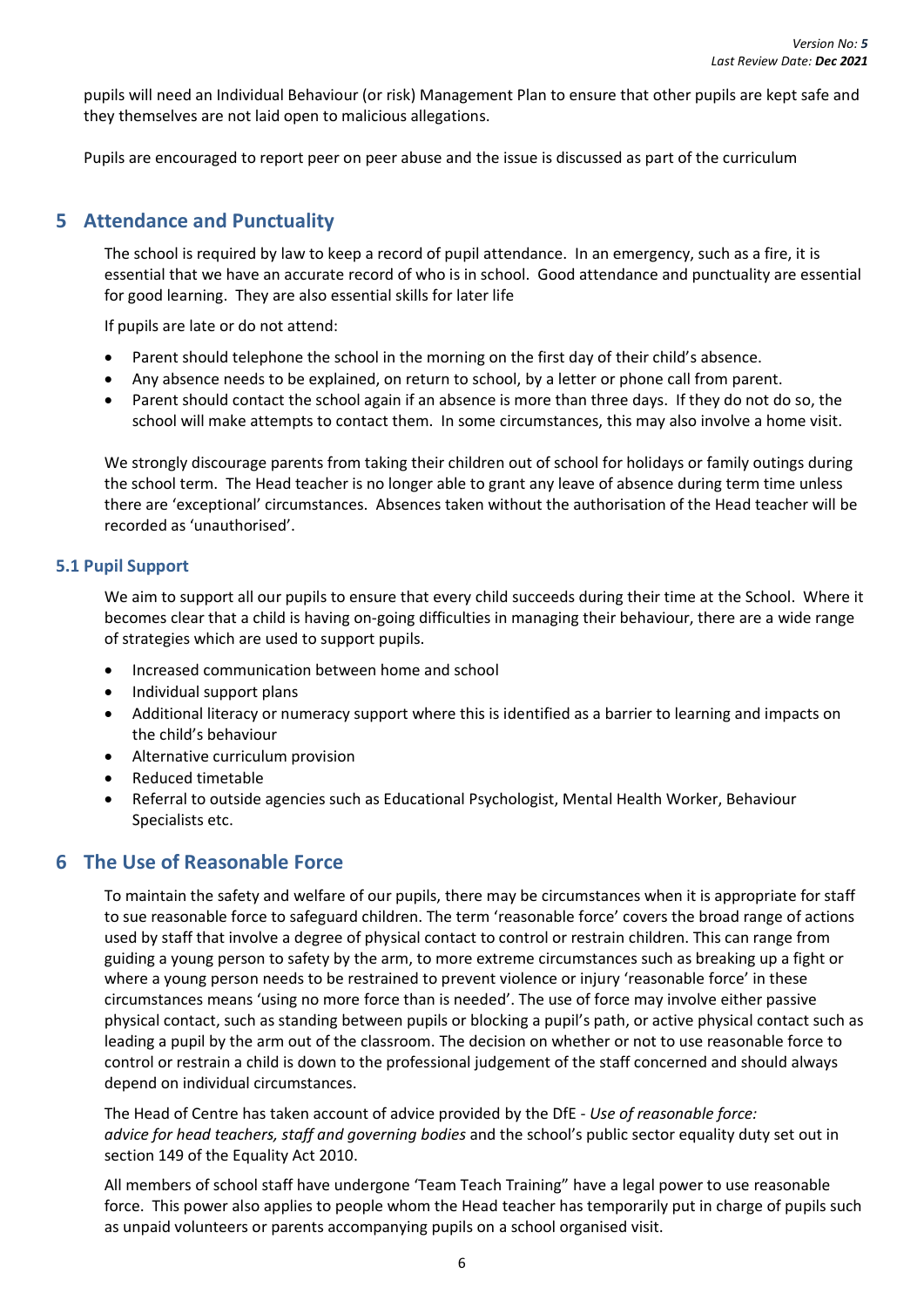pupils will need an Individual Behaviour (or risk) Management Plan to ensure that other pupils are kept safe and they themselves are not laid open to malicious allegations.

Pupils are encouraged to report peer on peer abuse and the issue is discussed as part of the curriculum

## <span id="page-12-0"></span>**5 Attendance and Punctuality**

The school is required by law to keep a record of pupil attendance. In an emergency, such as a fire, it is essential that we have an accurate record of who is in school. Good attendance and punctuality are essential for good learning. They are also essential skills for later life

If pupils are late or do not attend:

- Parent should telephone the school in the morning on the first day of their child's absence.
- Any absence needs to be explained, on return to school, by a letter or phone call from parent.
- Parent should contact the school again if an absence is more than three days. If they do not do so, the school will make attempts to contact them. In some circumstances, this may also involve a home visit.

We strongly discourage parents from taking their children out of school for holidays or family outings during the school term. The Head teacher is no longer able to grant any leave of absence during term time unless there are 'exceptional' circumstances. Absences taken without the authorisation of the Head teacher will be recorded as 'unauthorised'.

#### <span id="page-12-1"></span>**5.1 Pupil Support**

We aim to support all our pupils to ensure that every child succeeds during their time at the School. Where it becomes clear that a child is having on-going difficulties in managing their behaviour, there are a wide range of strategies which are used to support pupils.

- Increased communication between home and school
- Individual support plans
- Additional literacy or numeracy support where this is identified as a barrier to learning and impacts on the child's behaviour
- Alternative curriculum provision
- Reduced timetable
- Referral to outside agencies such as Educational Psychologist, Mental Health Worker, Behaviour Specialists etc.

## <span id="page-12-2"></span>**6 The Use of Reasonable Force**

To maintain the safety and welfare of our pupils, there may be circumstances when it is appropriate for staff to sue reasonable force to safeguard children. The term 'reasonable force' covers the broad range of actions used by staff that involve a degree of physical contact to control or restrain children. This can range from guiding a young person to safety by the arm, to more extreme circumstances such as breaking up a fight or where a young person needs to be restrained to prevent violence or injury 'reasonable force' in these circumstances means 'using no more force than is needed'. The use of force may involve either passive physical contact, such as standing between pupils or blocking a pupil's path, or active physical contact such as leading a pupil by the arm out of the classroom. The decision on whether or not to use reasonable force to control or restrain a child is down to the professional judgement of the staff concerned and should always depend on individual circumstances.

The Head of Centre has taken account of advice provided by the DfE - *Use of reasonable force: advice for head teachers, staff and governing bodies* and the school's public sector equality duty set out in section 149 of the Equality Act 2010.

All members of school staff have undergone 'Team Teach Training" have a legal power to use reasonable force. This power also applies to people whom the Head teacher has temporarily put in charge of pupils such as unpaid volunteers or parents accompanying pupils on a school organised visit.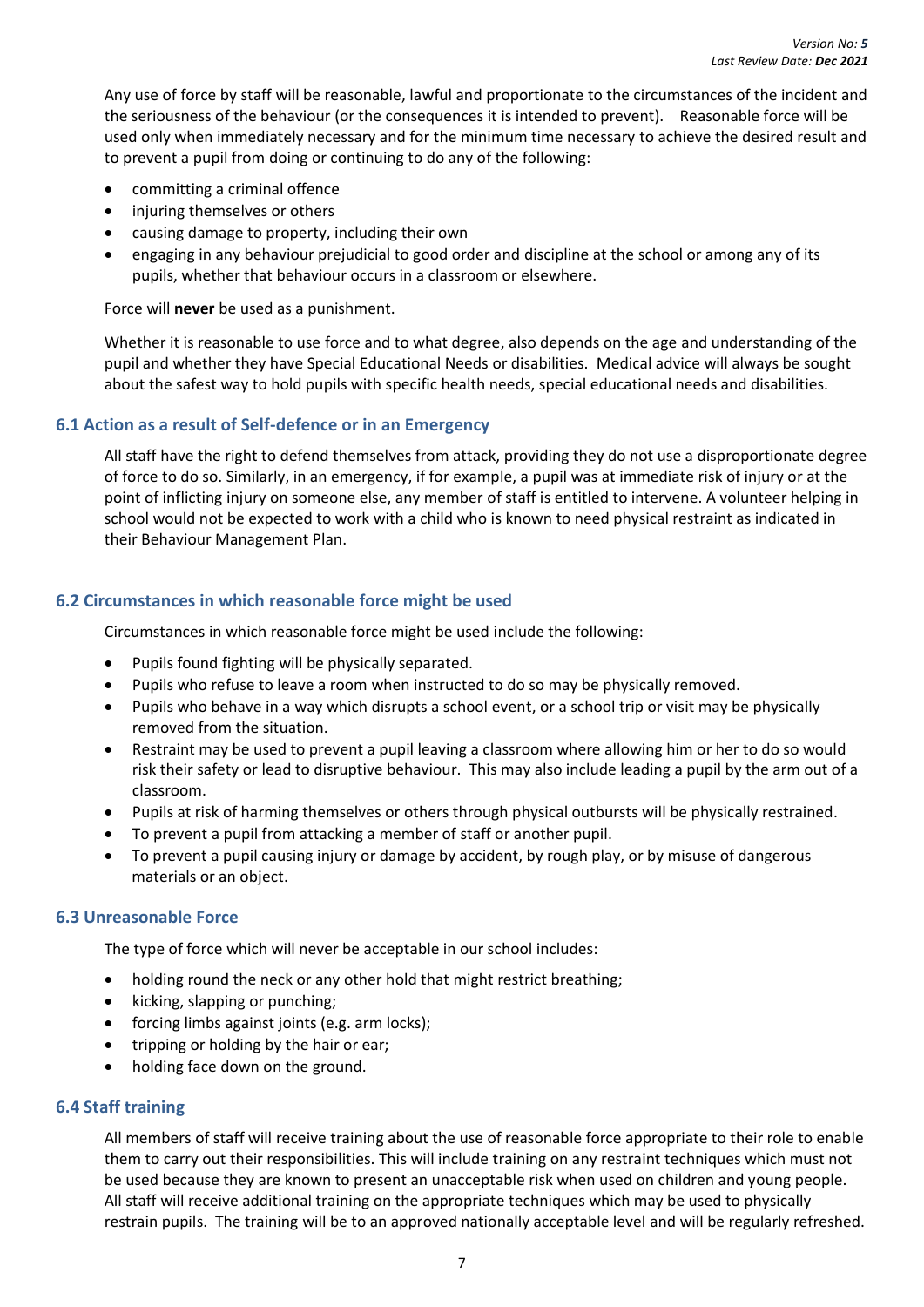Any use of force by staff will be reasonable, lawful and proportionate to the circumstances of the incident and the seriousness of the behaviour (or the consequences it is intended to prevent). Reasonable force will be used only when immediately necessary and for the minimum time necessary to achieve the desired result and to prevent a pupil from doing or continuing to do any of the following:

- committing a criminal offence
- injuring themselves or others
- causing damage to property, including their own
- engaging in any behaviour prejudicial to good order and discipline at the school or among any of its pupils, whether that behaviour occurs in a classroom or elsewhere.

Force will **never** be used as a punishment.

Whether it is reasonable to use force and to what degree, also depends on the age and understanding of the pupil and whether they have Special Educational Needs or disabilities. Medical advice will always be sought about the safest way to hold pupils with specific health needs, special educational needs and disabilities.

#### <span id="page-13-0"></span>**6.1 Action as a result of Self-defence or in an Emergency**

All staff have the right to defend themselves from attack, providing they do not use a disproportionate degree of force to do so. Similarly, in an emergency, if for example, a pupil was at immediate risk of injury or at the point of inflicting injury on someone else, any member of staff is entitled to intervene. A volunteer helping in school would not be expected to work with a child who is known to need physical restraint as indicated in their Behaviour Management Plan.

#### <span id="page-13-1"></span>**6.2 Circumstances in which reasonable force might be used**

Circumstances in which reasonable force might be used include the following:

- Pupils found fighting will be physically separated.
- Pupils who refuse to leave a room when instructed to do so may be physically removed.
- Pupils who behave in a way which disrupts a school event, or a school trip or visit may be physically removed from the situation.
- Restraint may be used to prevent a pupil leaving a classroom where allowing him or her to do so would risk their safety or lead to disruptive behaviour. This may also include leading a pupil by the arm out of a classroom.
- Pupils at risk of harming themselves or others through physical outbursts will be physically restrained.
- To prevent a pupil from attacking a member of staff or another pupil.
- To prevent a pupil causing injury or damage by accident, by rough play, or by misuse of dangerous materials or an object.

#### <span id="page-13-2"></span>**6.3 Unreasonable Force**

The type of force which will never be acceptable in our school includes:

- holding round the neck or any other hold that might restrict breathing;
- kicking, slapping or punching;
- forcing limbs against joints (e.g. arm locks);
- tripping or holding by the hair or ear;
- holding face down on the ground.

#### <span id="page-13-3"></span>**6.4 Staff training**

All members of staff will receive training about the use of reasonable force appropriate to their role to enable them to carry out their responsibilities. This will include training on any restraint techniques which must not be used because they are known to present an unacceptable risk when used on children and young people. All staff will receive additional training on the appropriate techniques which may be used to physically restrain pupils. The training will be to an approved nationally acceptable level and will be regularly refreshed.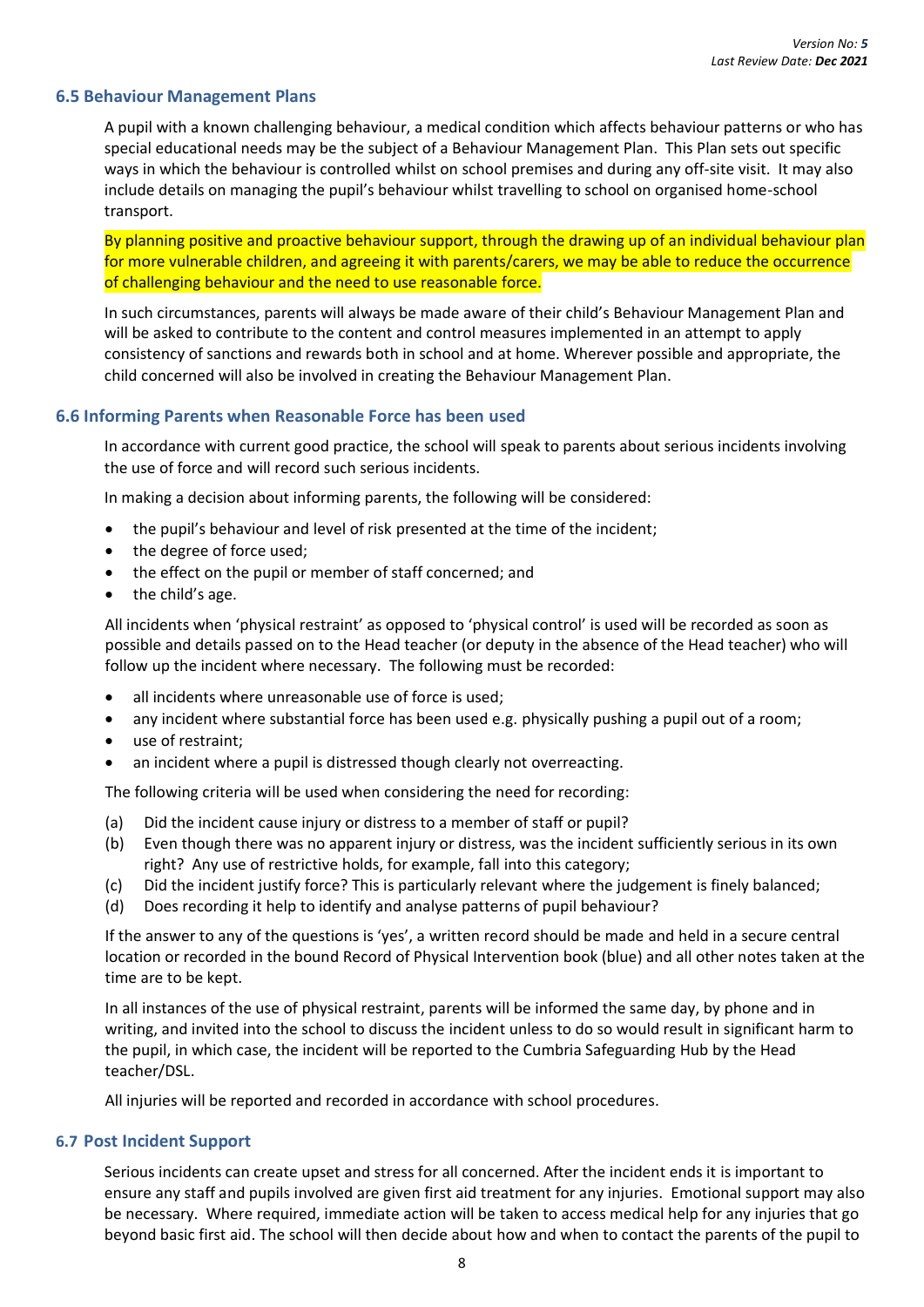#### <span id="page-14-0"></span>**6.5 Behaviour Management Plans**

A pupil with a known challenging behaviour, a medical condition which affects behaviour patterns or who has special educational needs may be the subject of a Behaviour Management Plan. This Plan sets out specific ways in which the behaviour is controlled whilst on school premises and during any off-site visit. It may also include details on managing the pupil's behaviour whilst travelling to school on organised home-school transport.

By planning positive and proactive behaviour support, through the drawing up of an individual behaviour plan for more vulnerable children, and agreeing it with parents/carers, we may be able to reduce the occurrence of challenging behaviour and the need to use reasonable force.

In such circumstances, parents will always be made aware of their child's Behaviour Management Plan and will be asked to contribute to the content and control measures implemented in an attempt to apply consistency of sanctions and rewards both in school and at home. Wherever possible and appropriate, the child concerned will also be involved in creating the Behaviour Management Plan.

#### <span id="page-14-1"></span>**6.6 Informing Parents when Reasonable Force has been used**

In accordance with current good practice, the school will speak to parents about serious incidents involving the use of force and will record such serious incidents.

In making a decision about informing parents, the following will be considered:

- the pupil's behaviour and level of risk presented at the time of the incident;
- the degree of force used;
- the effect on the pupil or member of staff concerned; and
- the child's age.

All incidents when 'physical restraint' as opposed to 'physical control' is used will be recorded as soon as possible and details passed on to the Head teacher (or deputy in the absence of the Head teacher) who will follow up the incident where necessary. The following must be recorded:

- all incidents where unreasonable use of force is used;
- any incident where substantial force has been used e.g. physically pushing a pupil out of a room;
- use of restraint:
- an incident where a pupil is distressed though clearly not overreacting.

The following criteria will be used when considering the need for recording:

- (a) Did the incident cause injury or distress to a member of staff or pupil?
- (b) Even though there was no apparent injury or distress, was the incident sufficiently serious in its own right? Any use of restrictive holds, for example, fall into this category;
- (c) Did the incident justify force? This is particularly relevant where the judgement is finely balanced;
- (d) Does recording it help to identify and analyse patterns of pupil behaviour?

If the answer to any of the questions is 'yes', a written record should be made and held in a secure central location or recorded in the bound Record of Physical Intervention book (blue) and all other notes taken at the time are to be kept.

In all instances of the use of physical restraint, parents will be informed the same day, by phone and in writing, and invited into the school to discuss the incident unless to do so would result in significant harm to the pupil, in which case, the incident will be reported to the Cumbria Safeguarding Hub by the Head teacher/DSL.

All injuries will be reported and recorded in accordance with school procedures.

#### <span id="page-14-2"></span>**6.7 Post Incident Support**

Serious incidents can create upset and stress for all concerned. After the incident ends it is important to ensure any staff and pupils involved are given first aid treatment for any injuries. Emotional support may also be necessary. Where required, immediate action will be taken to access medical help for any injuries that go beyond basic first aid. The school will then decide about how and when to contact the parents of the pupil to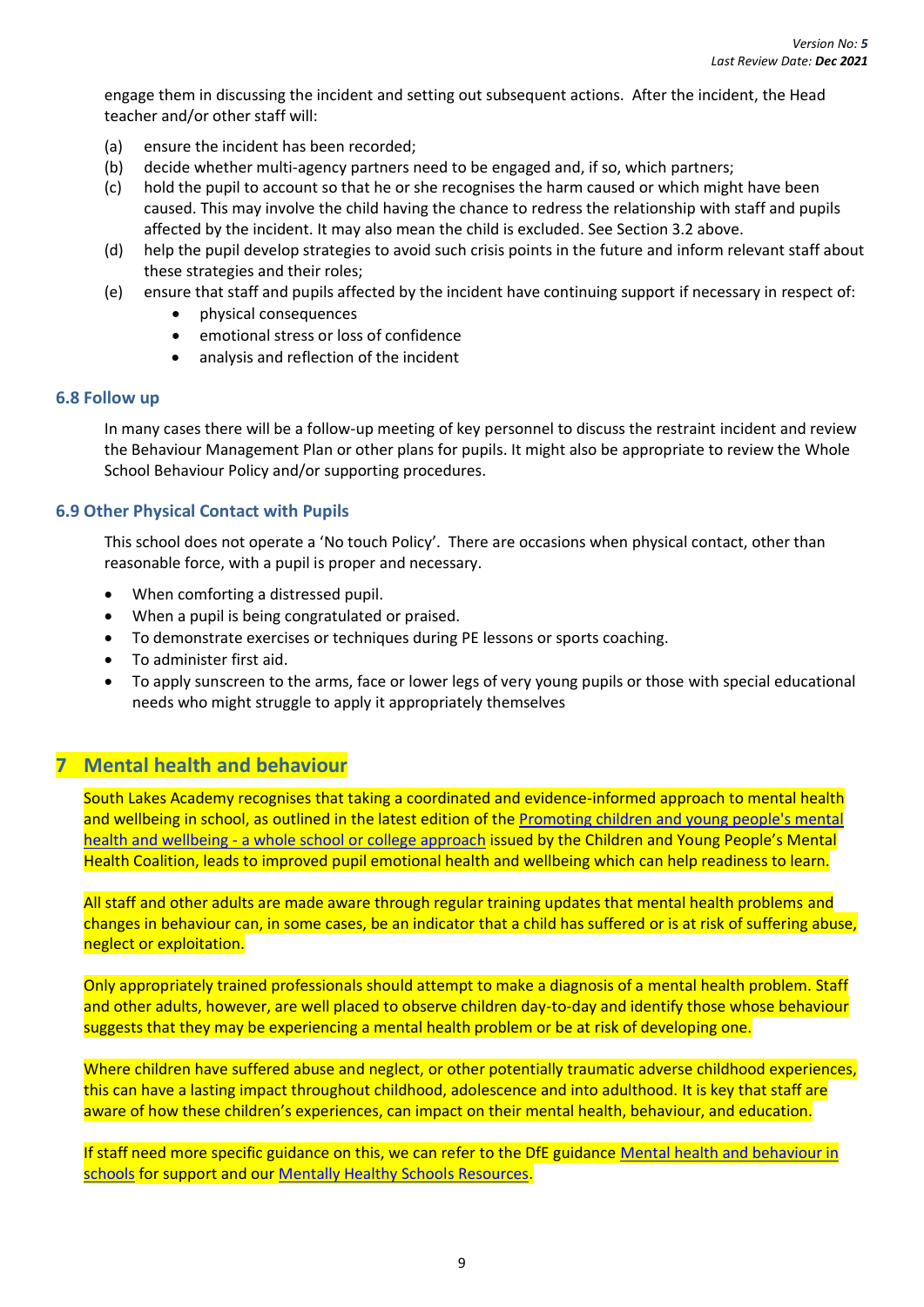engage them in discussing the incident and setting out subsequent actions. After the incident, the Head teacher and/or other staff will:

- (a) ensure the incident has been recorded;
- (b) decide whether multi-agency partners need to be engaged and, if so, which partners;
- (c) hold the pupil to account so that he or she recognises the harm caused or which might have been caused. This may involve the child having the chance to redress the relationship with staff and pupils affected by the incident. It may also mean the child is excluded. See Section 3.2 above.
- (d) help the pupil develop strategies to avoid such crisis points in the future and inform relevant staff about these strategies and their roles;
- (e) ensure that staff and pupils affected by the incident have continuing support if necessary in respect of:
	- physical consequences
	- emotional stress or loss of confidence
	- analysis and reflection of the incident

#### <span id="page-15-0"></span>**6.8 Follow up**

In many cases there will be a follow-up meeting of key personnel to discuss the restraint incident and review the Behaviour Management Plan or other plans for pupils. It might also be appropriate to review the Whole School Behaviour Policy and/or supporting procedures.

#### <span id="page-15-1"></span>**6.9 Other Physical Contact with Pupils**

This school does not operate a 'No touch Policy'. There are occasions when physical contact, other than reasonable force, with a pupil is proper and necessary.

- When comforting a distressed pupil.
- When a pupil is being congratulated or praised.
- To demonstrate exercises or techniques during PE lessons or sports coaching.
- To administer first aid.
- To apply sunscreen to the arms, face or lower legs of very young pupils or those with special educational needs who might struggle to apply it appropriately themselves

## <span id="page-15-2"></span>**7 Mental health and behaviour**

South Lakes Academy recognises that taking a coordinated and evidence-informed approach to mental health and wellbeing in school, as outlined in the latest edition of th[e Promoting children and young people's mental](https://www.gov.uk/government/publications/promoting-children-and-young-peoples-emotional-health-and-wellbeing)  health and wellbeing - [a whole school or college approach](https://www.gov.uk/government/publications/promoting-children-and-young-peoples-emotional-health-and-wellbeing) issued by the Children and Young People's Mental Health Coalition, leads to improved pupil emotional health and wellbeing which can help readiness to learn.

All staff and other adults are made aware through regular training updates that mental health problems and changes in behaviour can, in some cases, be an indicator that a child has suffered or is at risk of suffering abuse, neglect or exploitation.

Only appropriately trained professionals should attempt to make a diagnosis of a mental health problem. Staff and other adults, however, are well placed to observe children day-to-day and identify those whose behaviour suggests that they may be experiencing a mental health problem or be at risk of developing one.

Where children have suffered abuse and neglect, or other potentially traumatic adverse childhood experiences, this can have a lasting impact throughout childhood, adolescence and into adulthood. It is key that staff are aware of how these children's experiences, can impact on their mental health, behaviour, and education.

If staff need more specific guidance on this, we can refer to the DfE guidance Mental health and behaviour in [schools](https://www.gov.uk/government/publications/mental-health-and-behaviour-in-schools--2) for support and our [Mentally Healthy Schools Resources.](https://www.mentallyhealthyschools.org.uk/)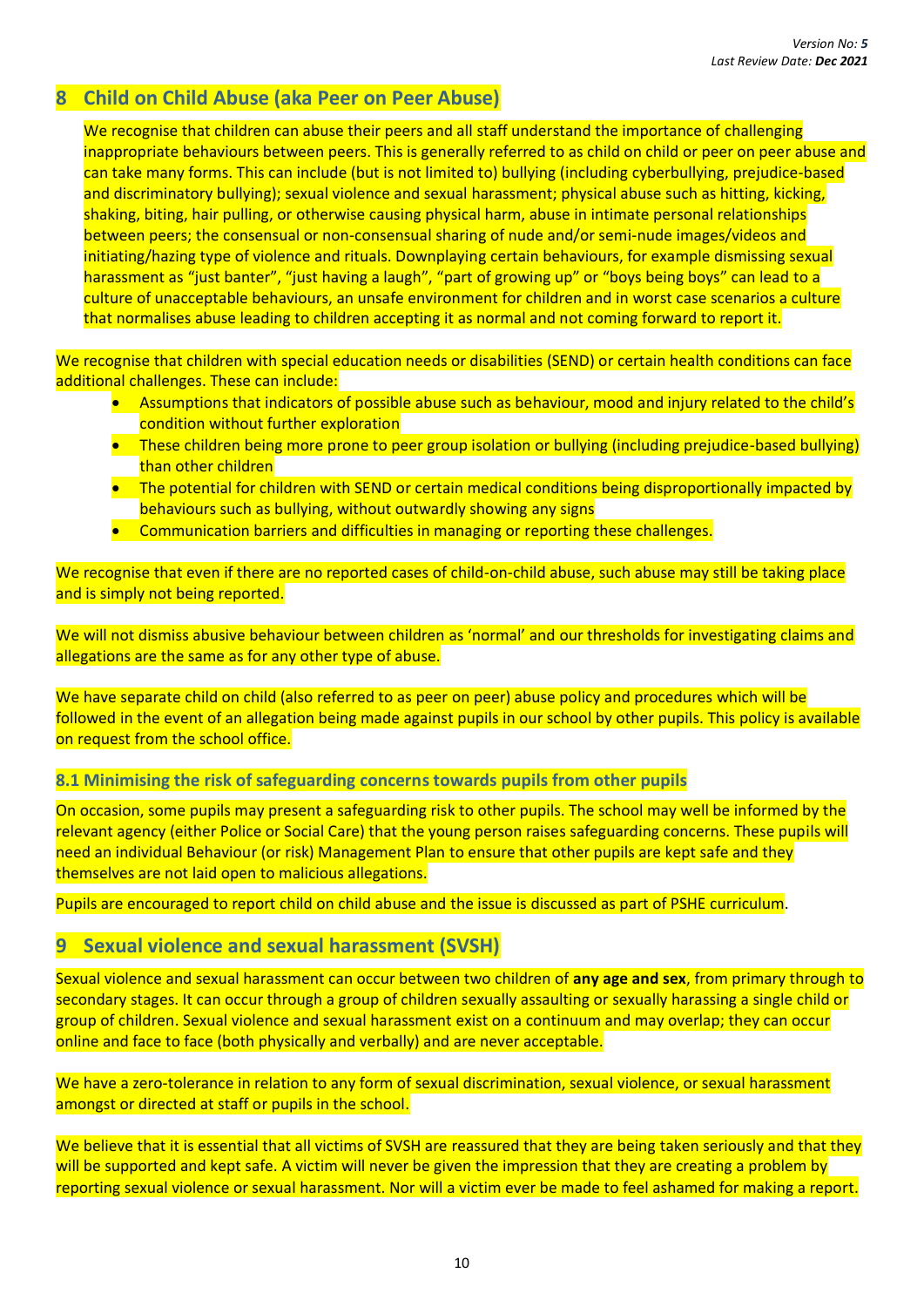## <span id="page-16-0"></span>**8 Child on Child Abuse (aka Peer on Peer Abuse)**

We recognise that children can abuse their peers and all staff understand the importance of challenging inappropriate behaviours between peers. This is generally referred to as child on child or peer on peer abuse and can take many forms. This can include (but is not limited to) bullying (including cyberbullying, prejudice-based and discriminatory bullying); sexual violence and sexual harassment; physical abuse such as hitting, kicking, shaking, biting, hair pulling, or otherwise causing physical harm, abuse in intimate personal relationships between peers; the consensual or non-consensual sharing of nude and/or semi-nude images/videos and initiating/hazing type of violence and rituals. Downplaying certain behaviours, for example dismissing sexual harassment as "just banter", "just having a laugh", "part of growing up" or "boys being boys" can lead to a culture of unacceptable behaviours, an unsafe environment for children and in worst case scenarios a culture that normalises abuse leading to children accepting it as normal and not coming forward to report it.

We recognise that children with special education needs or disabilities (SEND) or certain health conditions can face additional challenges. These can include:

- Assumptions that indicators of possible abuse such as behaviour, mood and injury related to the child's condition without further exploration
- These children being more prone to peer group isolation or bullying (including prejudice-based bullying) than other children
- The potential for children with SEND or certain medical conditions being disproportionally impacted by behaviours such as bullying, without outwardly showing any signs
- Communication barriers and difficulties in managing or reporting these challenges.

We recognise that even if there are no reported cases of child-on-child abuse, such abuse may still be taking place and is simply not being reported.

We will not dismiss abusive behaviour between children as 'normal' and our thresholds for investigating claims and allegations are the same as for any other type of abuse.

We have separate child on child (also referred to as peer on peer) abuse policy and procedures which will be followed in the event of an allegation being made against pupils in our school by other pupils. This policy is available on request from the school office.

<span id="page-16-1"></span>**8.1 Minimising the risk of safeguarding concerns towards pupils from other pupils**

On occasion, some pupils may present a safeguarding risk to other pupils. The school may well be informed by the relevant agency (either Police or Social Care) that the young person raises safeguarding concerns. These pupils will need an individual Behaviour (or risk) Management Plan to ensure that other pupils are kept safe and they themselves are not laid open to malicious allegations.

<span id="page-16-2"></span>Pupils are encouraged to report child on child abuse and the issue is discussed as part of PSHE curriculum.

## **9 Sexual violence and sexual harassment (SVSH)**

Sexual violence and sexual harassment can occur between two children of **any age and sex**, from primary through to secondary stages. It can occur through a group of children sexually assaulting or sexually harassing a single child or group of children. Sexual violence and sexual harassment exist on a continuum and may overlap; they can occur online and face to face (both physically and verbally) and are never acceptable.

We have a zero-tolerance in relation to any form of sexual discrimination, sexual violence, or sexual harassment amongst or directed at staff or pupils in the school.

We believe that it is essential that all victims of SVSH are reassured that they are being taken seriously and that they will be supported and kept safe. A victim will never be given the impression that they are creating a problem by reporting sexual violence or sexual harassment. Nor will a victim ever be made to feel ashamed for making a report.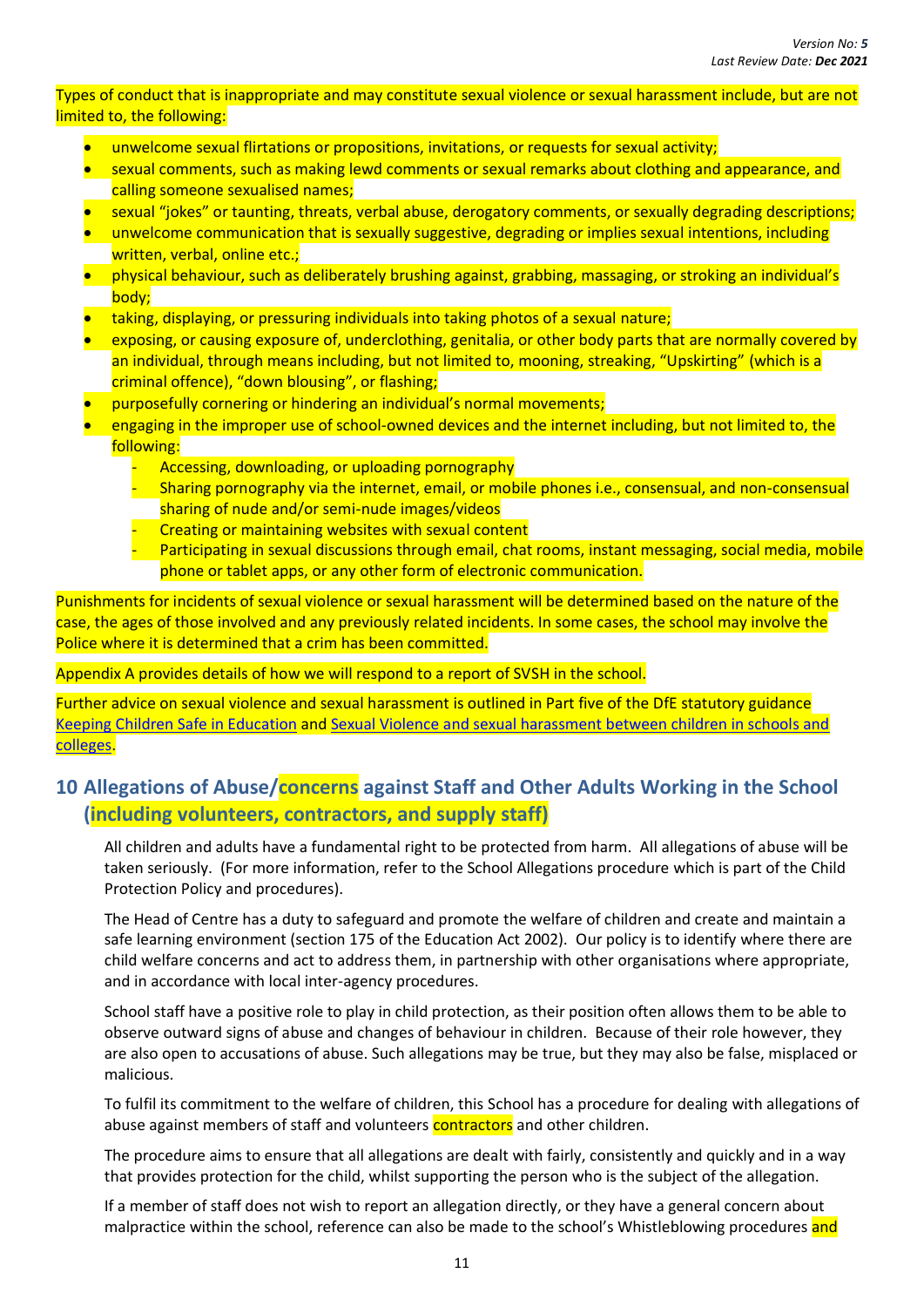#### Types of conduct that is inappropriate and may constitute sexual violence or sexual harassment include, but are not limited to, the following:

- unwelcome sexual flirtations or propositions, invitations, or requests for sexual activity;
- sexual comments, such as making lewd comments or sexual remarks about clothing and appearance, and calling someone sexualised names;
- sexual "jokes" or taunting, threats, verbal abuse, derogatory comments, or sexually degrading descriptions;
- unwelcome communication that is sexually suggestive, degrading or implies sexual intentions, including written, verbal, online etc.;
- physical behaviour, such as deliberately brushing against, grabbing, massaging, or stroking an individual's body;
- taking, displaying, or pressuring individuals into taking photos of a sexual nature;
- exposing, or causing exposure of, underclothing, genitalia, or other body parts that are normally covered by an individual, through means including, but not limited to, mooning, streaking, "Upskirting" (which is a criminal offence), "down blousing", or flashing;
- purposefully cornering or hindering an individual's normal movements;
- engaging in the improper use of school-owned devices and the internet including, but not limited to, the following:
	- Accessing, downloading, or uploading pornography
	- Sharing pornography via the internet, email, or mobile phones i.e., consensual, and non-consensual sharing of nude and/or semi-nude images/videos
	- Creating or maintaining websites with sexual content
	- Participating in sexual discussions through email, chat rooms, instant messaging, social media, mobile phone or tablet apps, or any other form of electronic communication.

Punishments for incidents of sexual violence or sexual harassment will be determined based on the nature of the case, the ages of those involved and any previously related incidents. In some cases, the school may involve the Police where it is determined that a crim has been committed.

Appendix A provides details of how we will respond to a report of SVSH in the school.

Further advice on sexual violence and sexual harassment is outlined in Part five of the DfE statutory guidance [Keeping Children Safe in Education](https://www.gov.uk/government/publications/keeping-children-safe-in-education--2) and [Sexual Violence and sexual harassment between children in schools and](https://www.gov.uk/government/publications/sexual-violence-and-sexual-harassment-between-children-in-schools-and-colleges)  [colleges.](https://www.gov.uk/government/publications/sexual-violence-and-sexual-harassment-between-children-in-schools-and-colleges)

## <span id="page-17-0"></span>**10 Allegations of Abuse/concerns against Staff and Other Adults Working in the School (including volunteers, contractors, and supply staff)**

All children and adults have a fundamental right to be protected from harm. All allegations of abuse will be taken seriously. (For more information, refer to the School Allegations procedure which is part of the Child Protection Policy and procedures).

The Head of Centre has a duty to safeguard and promote the welfare of children and create and maintain a safe learning environment (section 175 of the Education Act 2002). Our policy is to identify where there are child welfare concerns and act to address them, in partnership with other organisations where appropriate, and in accordance with local inter-agency procedures.

School staff have a positive role to play in child protection, as their position often allows them to be able to observe outward signs of abuse and changes of behaviour in children. Because of their role however, they are also open to accusations of abuse. Such allegations may be true, but they may also be false, misplaced or malicious.

To fulfil its commitment to the welfare of children, this School has a procedure for dealing with allegations of abuse against members of staff and volunteers **contractors** and other children.

The procedure aims to ensure that all allegations are dealt with fairly, consistently and quickly and in a way that provides protection for the child, whilst supporting the person who is the subject of the allegation.

If a member of staff does not wish to report an allegation directly, or they have a general concern about malpractice within the school, reference can also be made to the school's Whistleblowing procedures and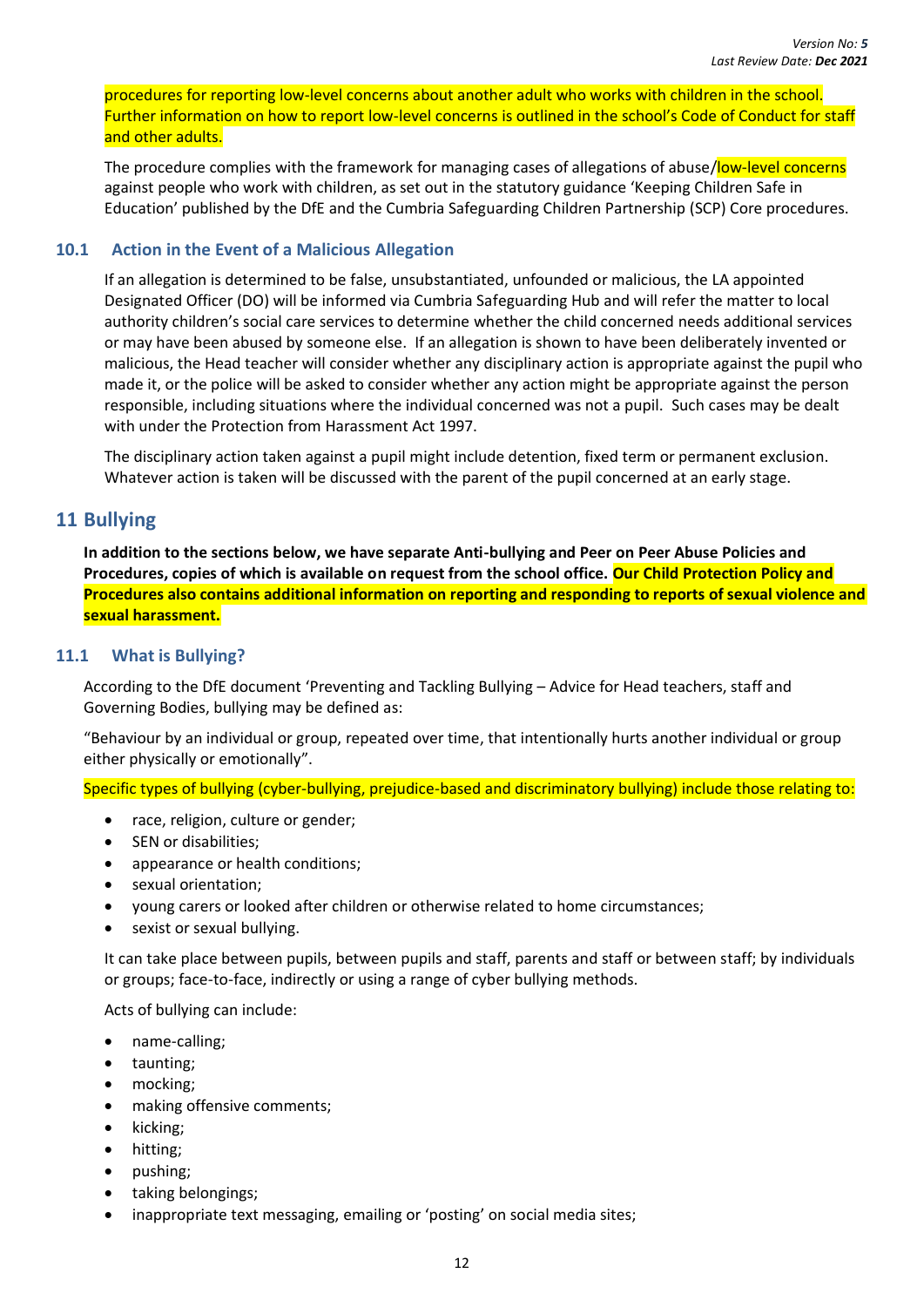procedures for reporting low-level concerns about another adult who works with children in the school. Further information on how to report low-level concerns is outlined in the school's Code of Conduct for staff and other adults.

The procedure complies with the framework for managing cases of allegations of abuse/low-level concerns against people who work with children, as set out in the statutory guidance 'Keeping Children Safe in Education' published by the DfE and the Cumbria Safeguarding Children Partnership (SCP) Core procedures.

#### <span id="page-18-0"></span>**10.1 Action in the Event of a Malicious Allegation**

If an allegation is determined to be false, unsubstantiated, unfounded or malicious, the LA appointed Designated Officer (DO) will be informed via Cumbria Safeguarding Hub and will refer the matter to local authority children's social care services to determine whether the child concerned needs additional services or may have been abused by someone else. If an allegation is shown to have been deliberately invented or malicious, the Head teacher will consider whether any disciplinary action is appropriate against the pupil who made it, or the police will be asked to consider whether any action might be appropriate against the person responsible, including situations where the individual concerned was not a pupil. Such cases may be dealt with under the Protection from Harassment Act 1997.

The disciplinary action taken against a pupil might include detention, fixed term or permanent exclusion. Whatever action is taken will be discussed with the parent of the pupil concerned at an early stage.

## <span id="page-18-1"></span>**11 Bullying**

**In addition to the sections below, we have separate Anti-bullying and Peer on Peer Abuse Policies and Procedures, copies of which is available on request from the school office. Our Child Protection Policy and Procedures also contains additional information on reporting and responding to reports of sexual violence and sexual harassment.**

#### <span id="page-18-2"></span>**11.1 What is Bullying?**

According to the DfE document 'Preventing and Tackling Bullying – Advice for Head teachers, staff and Governing Bodies, bullying may be defined as:

"Behaviour by an individual or group, repeated over time, that intentionally hurts another individual or group either physically or emotionally".

Specific types of bullying (cyber-bullying, prejudice-based and discriminatory bullying) include those relating to:

- race, religion, culture or gender;
- SEN or disabilities;
- appearance or health conditions;
- sexual orientation;
- young carers or looked after children or otherwise related to home circumstances;
- sexist or sexual bullying.

It can take place between pupils, between pupils and staff, parents and staff or between staff; by individuals or groups; face-to-face, indirectly or using a range of cyber bullying methods.

Acts of bullying can include:

- name-calling;
- taunting;
- mocking;
- making offensive comments;
- kicking;
- hitting;
- pushing;
- taking belongings;
- inappropriate text messaging, emailing or 'posting' on social media sites;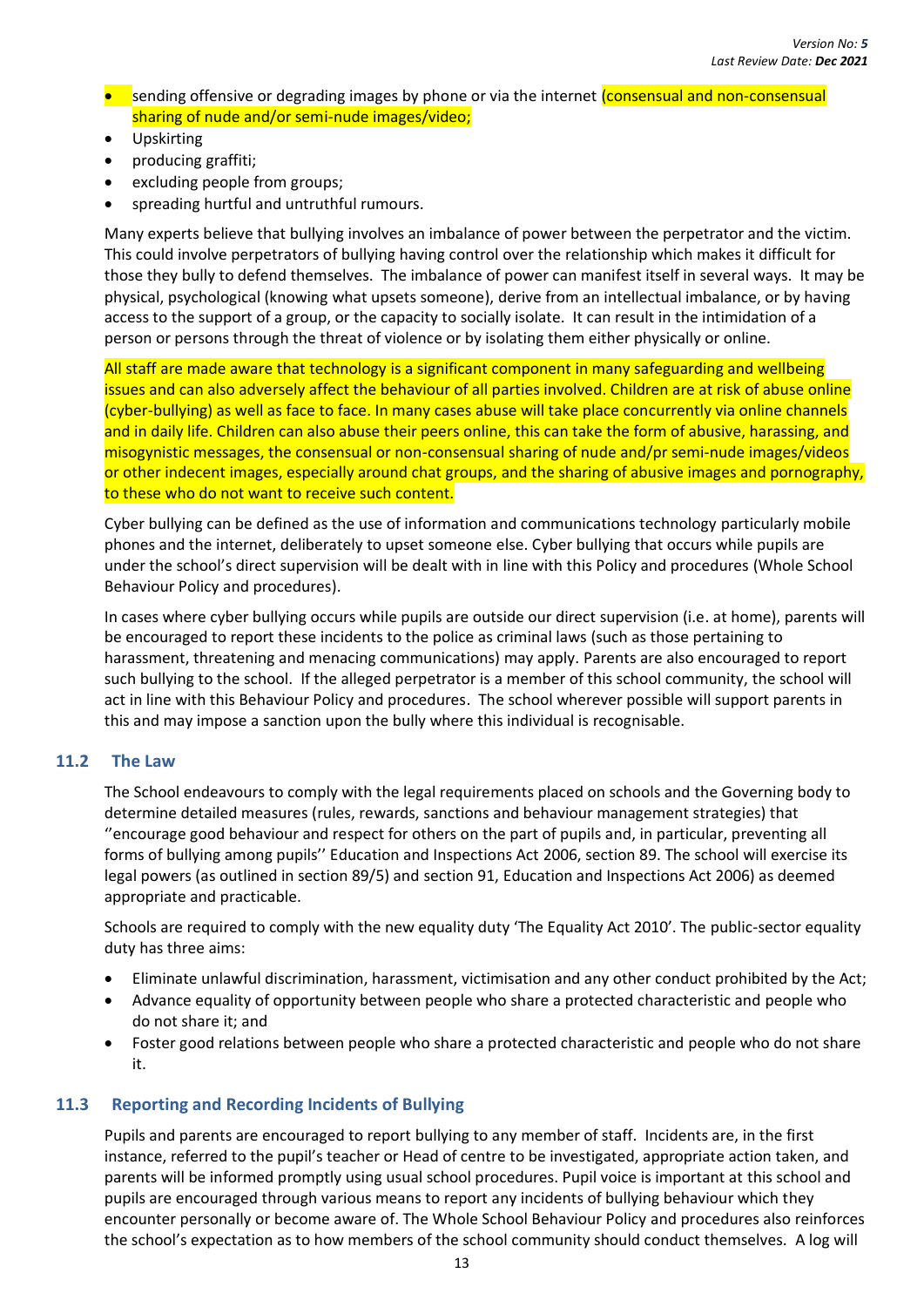- sending offensive or degrading images by phone or via the internet (consensual and non-consensual sharing of nude and/or semi-nude images/video;
- Upskirting
- producing graffiti;
- excluding people from groups:
- spreading hurtful and untruthful rumours.

Many experts believe that bullying involves an imbalance of power between the perpetrator and the victim. This could involve perpetrators of bullying having control over the relationship which makes it difficult for those they bully to defend themselves. The imbalance of power can manifest itself in several ways. It may be physical, psychological (knowing what upsets someone), derive from an intellectual imbalance, or by having access to the support of a group, or the capacity to socially isolate. It can result in the intimidation of a person or persons through the threat of violence or by isolating them either physically or online.

All staff are made aware that technology is a significant component in many safeguarding and wellbeing issues and can also adversely affect the behaviour of all parties involved. Children are at risk of abuse online (cyber-bullying) as well as face to face. In many cases abuse will take place concurrently via online channels and in daily life. Children can also abuse their peers online, this can take the form of abusive, harassing, and misogynistic messages, the consensual or non-consensual sharing of nude and/pr semi-nude images/videos or other indecent images, especially around chat groups, and the sharing of abusive images and pornography, to these who do not want to receive such content.

Cyber bullying can be defined as the use of information and communications technology particularly mobile phones and the internet, deliberately to upset someone else. Cyber bullying that occurs while pupils are under the school's direct supervision will be dealt with in line with this Policy and procedures (Whole School Behaviour Policy and procedures).

In cases where cyber bullying occurs while pupils are outside our direct supervision (i.e. at home), parents will be encouraged to report these incidents to the police as criminal laws (such as those pertaining to harassment, threatening and menacing communications) may apply. Parents are also encouraged to report such bullying to the school. If the alleged perpetrator is a member of this school community, the school will act in line with this Behaviour Policy and procedures. The school wherever possible will support parents in this and may impose a sanction upon the bully where this individual is recognisable.

#### <span id="page-19-0"></span>**11.2 The Law**

The School endeavours to comply with the legal requirements placed on schools and the Governing body to determine detailed measures (rules, rewards, sanctions and behaviour management strategies) that ''encourage good behaviour and respect for others on the part of pupils and, in particular, preventing all forms of bullying among pupils'' Education and Inspections Act 2006, section 89. The school will exercise its legal powers (as outlined in section 89/5) and section 91, Education and Inspections Act 2006) as deemed appropriate and practicable.

Schools are required to comply with the new equality duty 'The Equality Act 2010'. The public-sector equality duty has three aims:

- Eliminate unlawful discrimination, harassment, victimisation and any other conduct prohibited by the Act;
- Advance equality of opportunity between people who share a protected characteristic and people who do not share it; and
- Foster good relations between people who share a protected characteristic and people who do not share it.

#### <span id="page-19-1"></span>**11.3 Reporting and Recording Incidents of Bullying**

Pupils and parents are encouraged to report bullying to any member of staff. Incidents are, in the first instance, referred to the pupil's teacher or Head of centre to be investigated, appropriate action taken, and parents will be informed promptly using usual school procedures. Pupil voice is important at this school and pupils are encouraged through various means to report any incidents of bullying behaviour which they encounter personally or become aware of. The Whole School Behaviour Policy and procedures also reinforces the school's expectation as to how members of the school community should conduct themselves. A log will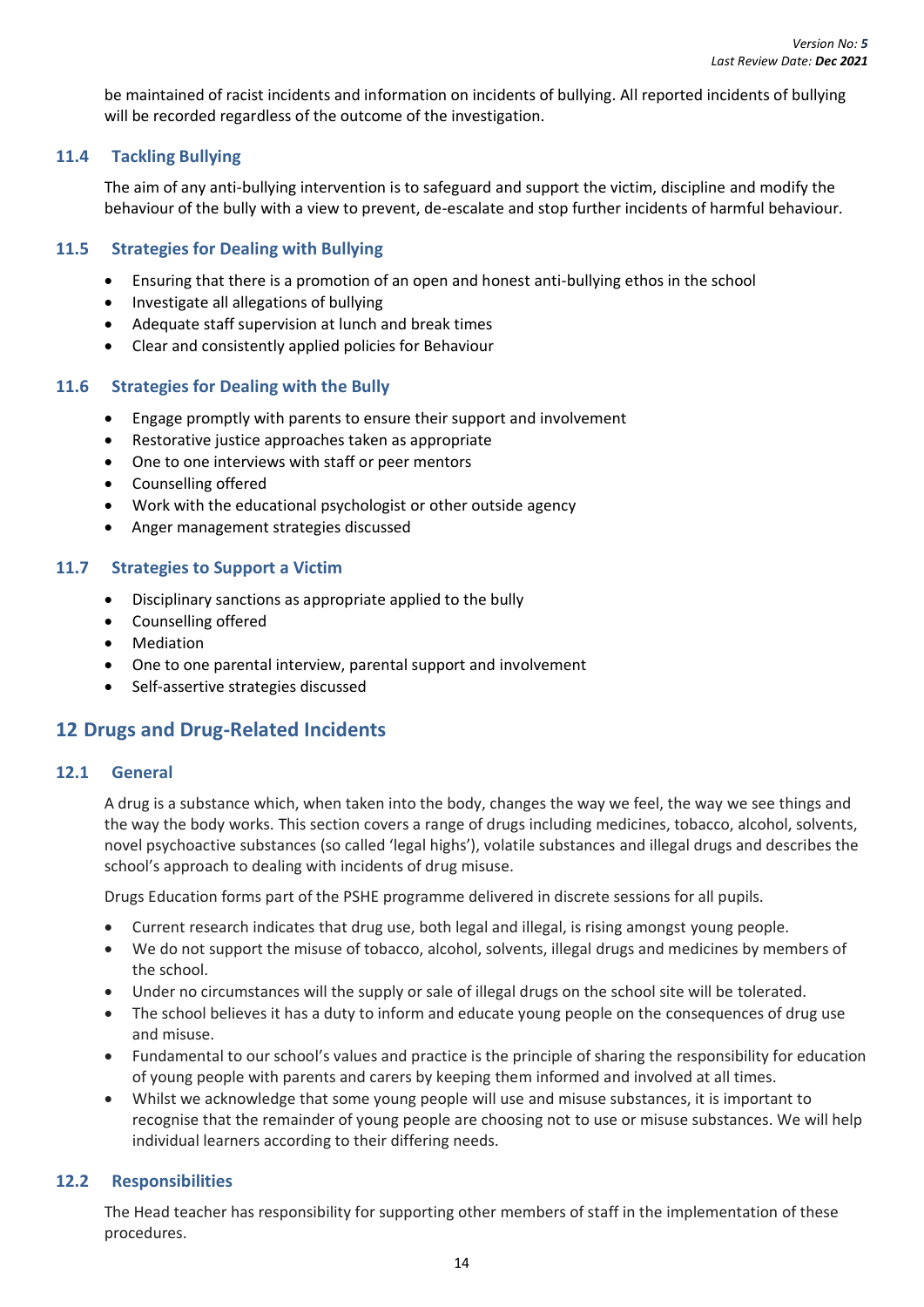be maintained of racist incidents and information on incidents of bullying. All reported incidents of bullying will be recorded regardless of the outcome of the investigation.

#### <span id="page-20-0"></span>**11.4 Tackling Bullying**

The aim of any anti-bullying intervention is to safeguard and support the victim, discipline and modify the behaviour of the bully with a view to prevent, de-escalate and stop further incidents of harmful behaviour.

#### <span id="page-20-1"></span>**11.5 Strategies for Dealing with Bullying**

- Ensuring that there is a promotion of an open and honest anti-bullying ethos in the school
- Investigate all allegations of bullying
- Adequate staff supervision at lunch and break times
- Clear and consistently applied policies for Behaviour

#### <span id="page-20-2"></span>**11.6 Strategies for Dealing with the Bully**

- Engage promptly with parents to ensure their support and involvement
- Restorative justice approaches taken as appropriate
- One to one interviews with staff or peer mentors
- Counselling offered
- Work with the educational psychologist or other outside agency
- Anger management strategies discussed

#### <span id="page-20-3"></span>**11.7 Strategies to Support a Victim**

- Disciplinary sanctions as appropriate applied to the bully
- Counselling offered
- Mediation
- One to one parental interview, parental support and involvement
- Self-assertive strategies discussed

## <span id="page-20-4"></span>**12 Drugs and Drug-Related Incidents**

#### <span id="page-20-5"></span>**12.1 General**

A drug is a substance which, when taken into the body, changes the way we feel, the way we see things and the way the body works. This section covers a range of drugs including medicines, tobacco, alcohol, solvents, novel psychoactive substances (so called 'legal highs'), volatile substances and illegal drugs and describes the school's approach to dealing with incidents of drug misuse.

Drugs Education forms part of the PSHE programme delivered in discrete sessions for all pupils.

- Current research indicates that drug use, both legal and illegal, is rising amongst young people.
- We do not support the misuse of tobacco, alcohol, solvents, illegal drugs and medicines by members of the school.
- Under no circumstances will the supply or sale of illegal drugs on the school site will be tolerated.
- The school believes it has a duty to inform and educate young people on the consequences of drug use and misuse.
- Fundamental to our school's values and practice is the principle of sharing the responsibility for education of young people with parents and carers by keeping them informed and involved at all times.
- Whilst we acknowledge that some young people will use and misuse substances, it is important to recognise that the remainder of young people are choosing not to use or misuse substances. We will help individual learners according to their differing needs.

#### <span id="page-20-6"></span>**12.2 Responsibilities**

The Head teacher has responsibility for supporting other members of staff in the implementation of these procedures.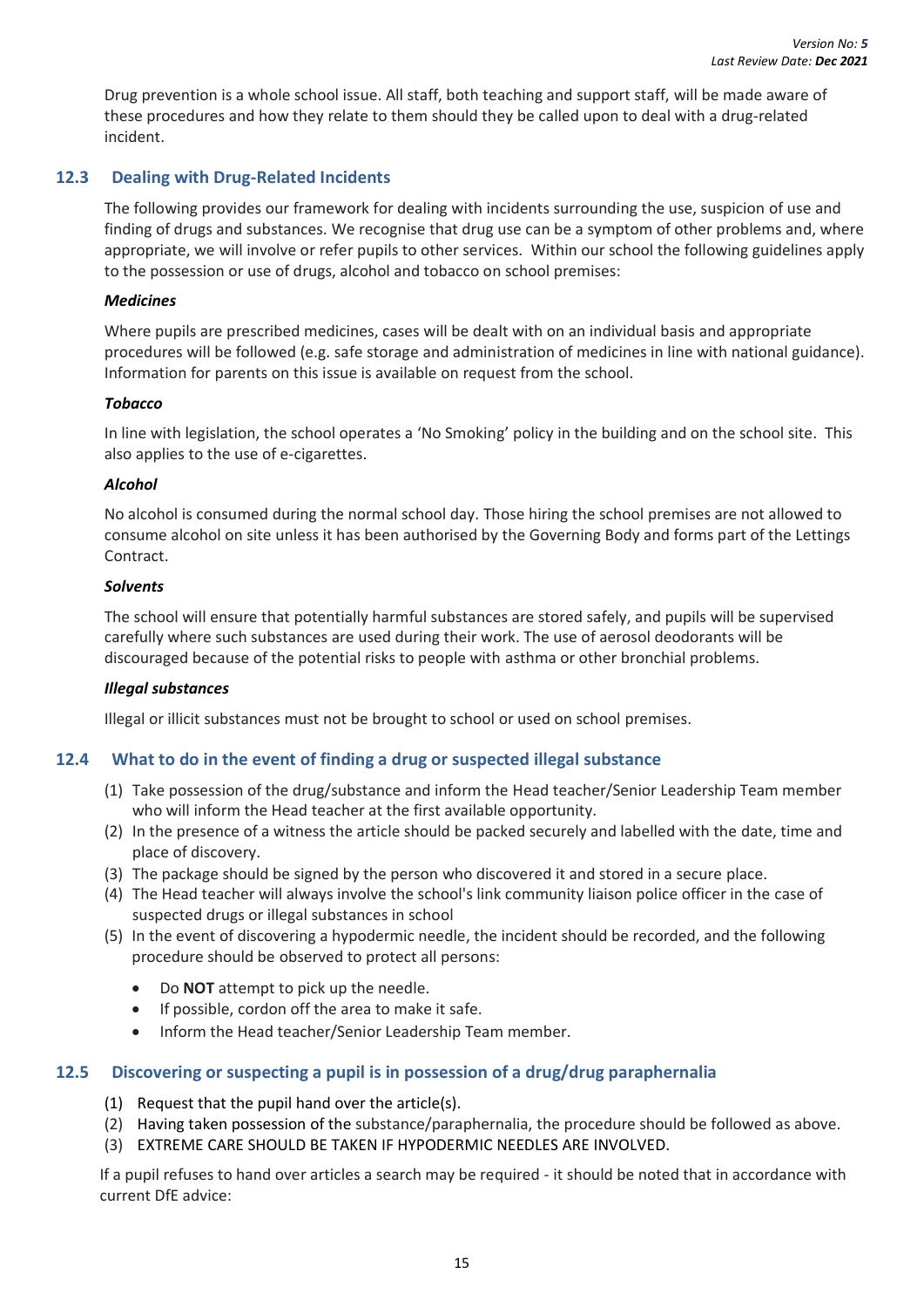Drug prevention is a whole school issue. All staff, both teaching and support staff, will be made aware of these procedures and how they relate to them should they be called upon to deal with a drug-related incident.

### <span id="page-21-0"></span>**12.3 Dealing with Drug-Related Incidents**

The following provides our framework for dealing with incidents surrounding the use, suspicion of use and finding of drugs and substances. We recognise that drug use can be a symptom of other problems and, where appropriate, we will involve or refer pupils to other services. Within our school the following guidelines apply to the possession or use of drugs, alcohol and tobacco on school premises:

#### <span id="page-21-1"></span>*Medicines*

Where pupils are prescribed medicines, cases will be dealt with on an individual basis and appropriate procedures will be followed (e.g. safe storage and administration of medicines in line with national guidance). Information for parents on this issue is available on request from the school.

#### <span id="page-21-2"></span>*Tobacco*

In line with legislation, the school operates a 'No Smoking' policy in the building and on the school site. This also applies to the use of e-cigarettes.

#### <span id="page-21-3"></span>*Alcohol*

No alcohol is consumed during the normal school day. Those hiring the school premises are not allowed to consume alcohol on site unless it has been authorised by the Governing Body and forms part of the Lettings Contract.

#### <span id="page-21-4"></span>*Solvents*

The school will ensure that potentially harmful substances are stored safely, and pupils will be supervised carefully where such substances are used during their work. The use of aerosol deodorants will be discouraged because of the potential risks to people with asthma or other bronchial problems.

#### <span id="page-21-5"></span>*Illegal substances*

Illegal or illicit substances must not be brought to school or used on school premises.

#### <span id="page-21-6"></span>**12.4 What to do in the event of finding a drug or suspected illegal substance**

- (1) Take possession of the drug/substance and inform the Head teacher/Senior Leadership Team member who will inform the Head teacher at the first available opportunity.
- (2) In the presence of a witness the article should be packed securely and labelled with the date, time and place of discovery.
- (3) The package should be signed by the person who discovered it and stored in a secure place.
- (4) The Head teacher will always involve the school's link community liaison police officer in the case of suspected drugs or illegal substances in school
- (5) In the event of discovering a hypodermic needle, the incident should be recorded, and the following procedure should be observed to protect all persons:
	- Do **NOT** attempt to pick up the needle.
	- If possible, cordon off the area to make it safe.
	- Inform the Head teacher/Senior Leadership Team member.

#### <span id="page-21-7"></span>**12.5 Discovering or suspecting a pupil is in possession of a drug/drug paraphernalia**

- (1) Request that the pupil hand over the article(s).
- (2) Having taken possession of the substance/paraphernalia, the procedure should be followed as above.
- (3) EXTREME CARE SHOULD BE TAKEN IF HYPODERMIC NEEDLES ARE INVOLVED.

If a pupil refuses to hand over articles a search may be required - it should be noted that in accordance with current DfE advice: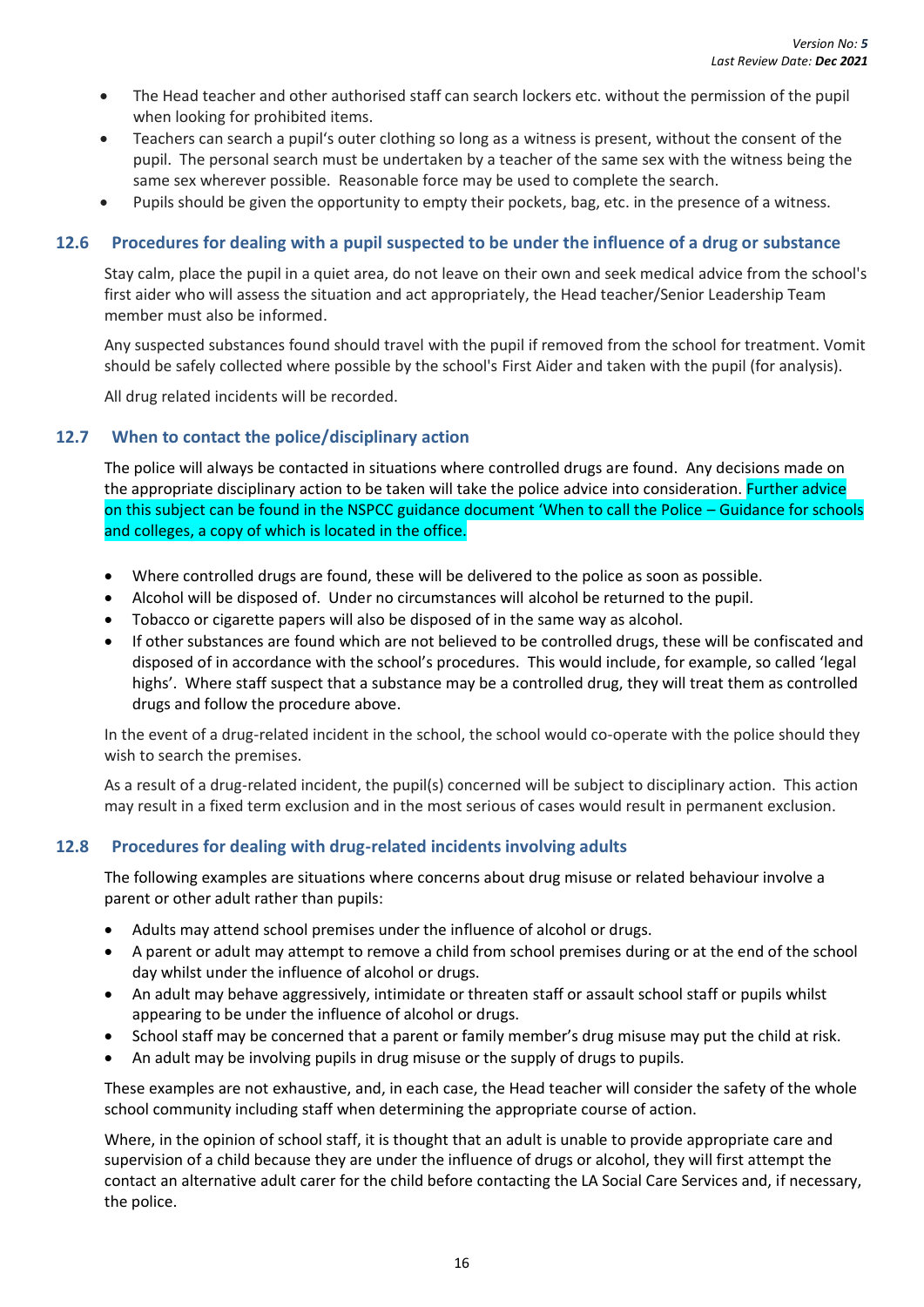- The Head teacher and other authorised staff can search lockers etc. without the permission of the pupil when looking for prohibited items.
- Teachers can search a pupil's outer clothing so long as a witness is present, without the consent of the pupil. The personal search must be undertaken by a teacher of the same sex with the witness being the same sex wherever possible. Reasonable force may be used to complete the search.
- Pupils should be given the opportunity to empty their pockets, bag, etc. in the presence of a witness.

#### <span id="page-22-0"></span>**12.6 Procedures for dealing with a pupil suspected to be under the influence of a drug or substance**

Stay calm, place the pupil in a quiet area, do not leave on their own and seek medical advice from the school's first aider who will assess the situation and act appropriately, the Head teacher/Senior Leadership Team member must also be informed.

Any suspected substances found should travel with the pupil if removed from the school for treatment. Vomit should be safely collected where possible by the school's First Aider and taken with the pupil (for analysis).

All drug related incidents will be recorded.

#### <span id="page-22-1"></span>**12.7 When to contact the police/disciplinary action**

The police will always be contacted in situations where controlled drugs are found. Any decisions made on the appropriate disciplinary action to be taken will take the police advice into consideration. Further advice on this subject can be found in the NSPCC guidance document 'When to call the Police – Guidance for schools and colleges, a copy of which is located in the office.

- Where controlled drugs are found, these will be delivered to the police as soon as possible.
- Alcohol will be disposed of. Under no circumstances will alcohol be returned to the pupil.
- Tobacco or cigarette papers will also be disposed of in the same way as alcohol.
- If other substances are found which are not believed to be controlled drugs, these will be confiscated and disposed of in accordance with the school's procedures. This would include, for example, so called 'legal highs'. Where staff suspect that a substance may be a controlled drug, they will treat them as controlled drugs and follow the procedure above.

In the event of a drug-related incident in the school, the school would co-operate with the police should they wish to search the premises.

As a result of a drug-related incident, the pupil(s) concerned will be subject to disciplinary action. This action may result in a fixed term exclusion and in the most serious of cases would result in permanent exclusion.

#### <span id="page-22-2"></span>**12.8 Procedures for dealing with drug-related incidents involving adults**

The following examples are situations where concerns about drug misuse or related behaviour involve a parent or other adult rather than pupils:

- Adults may attend school premises under the influence of alcohol or drugs.
- A parent or adult may attempt to remove a child from school premises during or at the end of the school day whilst under the influence of alcohol or drugs.
- An adult may behave aggressively, intimidate or threaten staff or assault school staff or pupils whilst appearing to be under the influence of alcohol or drugs.
- School staff may be concerned that a parent or family member's drug misuse may put the child at risk.
- An adult may be involving pupils in drug misuse or the supply of drugs to pupils.

These examples are not exhaustive, and, in each case, the Head teacher will consider the safety of the whole school community including staff when determining the appropriate course of action.

Where, in the opinion of school staff, it is thought that an adult is unable to provide appropriate care and supervision of a child because they are under the influence of drugs or alcohol, they will first attempt the contact an alternative adult carer for the child before contacting the LA Social Care Services and, if necessary, the police.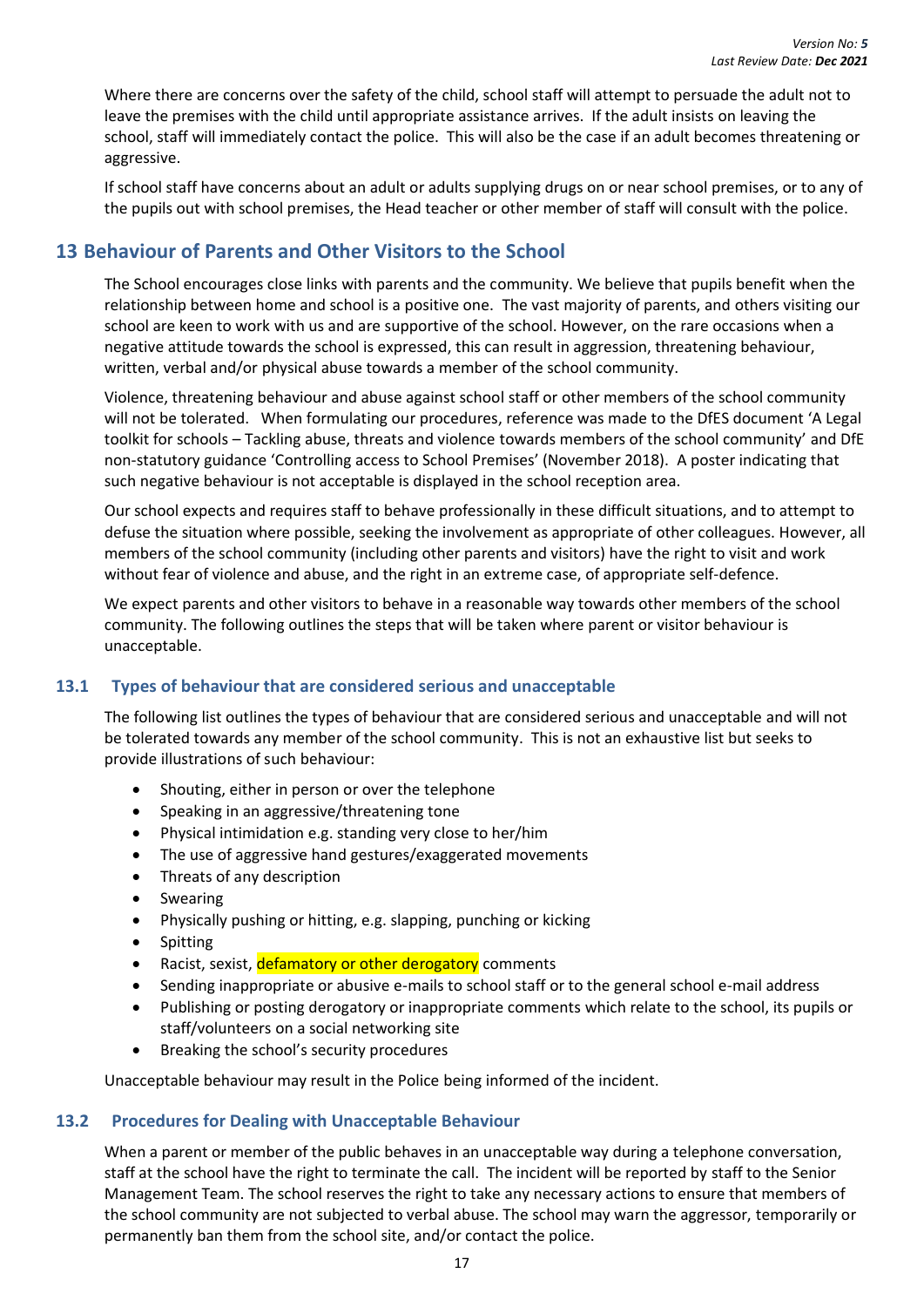Where there are concerns over the safety of the child, school staff will attempt to persuade the adult not to leave the premises with the child until appropriate assistance arrives. If the adult insists on leaving the school, staff will immediately contact the police. This will also be the case if an adult becomes threatening or aggressive.

If school staff have concerns about an adult or adults supplying drugs on or near school premises, or to any of the pupils out with school premises, the Head teacher or other member of staff will consult with the police.

## <span id="page-23-0"></span>**13 Behaviour of Parents and Other Visitors to the School**

The School encourages close links with parents and the community. We believe that pupils benefit when the relationship between home and school is a positive one. The vast majority of parents, and others visiting our school are keen to work with us and are supportive of the school. However, on the rare occasions when a negative attitude towards the school is expressed, this can result in aggression, threatening behaviour, written, verbal and/or physical abuse towards a member of the school community.

Violence, threatening behaviour and abuse against school staff or other members of the school community will not be tolerated. When formulating our procedures, reference was made to the DfES document 'A Legal toolkit for schools – Tackling abuse, threats and violence towards members of the school community' and DfE non-statutory guidance 'Controlling access to School Premises' (November 2018). A poster indicating that such negative behaviour is not acceptable is displayed in the school reception area.

Our school expects and requires staff to behave professionally in these difficult situations, and to attempt to defuse the situation where possible, seeking the involvement as appropriate of other colleagues. However, all members of the school community (including other parents and visitors) have the right to visit and work without fear of violence and abuse, and the right in an extreme case, of appropriate self-defence.

We expect parents and other visitors to behave in a reasonable way towards other members of the school community. The following outlines the steps that will be taken where parent or visitor behaviour is unacceptable.

#### <span id="page-23-1"></span>**13.1 Types of behaviour that are considered serious and unacceptable**

The following list outlines the types of behaviour that are considered serious and unacceptable and will not be tolerated towards any member of the school community. This is not an exhaustive list but seeks to provide illustrations of such behaviour:

- Shouting, either in person or over the telephone
- Speaking in an aggressive/threatening tone
- Physical intimidation e.g. standing very close to her/him
- The use of aggressive hand gestures/exaggerated movements
- Threats of any description
- Swearing
- Physically pushing or hitting, e.g. slapping, punching or kicking
- **Spitting**
- Racist, sexist, defamatory or other derogatory comments
- Sending inappropriate or abusive e-mails to school staff or to the general school e-mail address
- Publishing or posting derogatory or inappropriate comments which relate to the school, its pupils or staff/volunteers on a social networking site
- Breaking the school's security procedures

Unacceptable behaviour may result in the Police being informed of the incident.

#### <span id="page-23-2"></span>**13.2 Procedures for Dealing with Unacceptable Behaviour**

When a parent or member of the public behaves in an unacceptable way during a telephone conversation, staff at the school have the right to terminate the call. The incident will be reported by staff to the Senior Management Team. The school reserves the right to take any necessary actions to ensure that members of the school community are not subjected to verbal abuse. The school may warn the aggressor, temporarily or permanently ban them from the school site, and/or contact the police.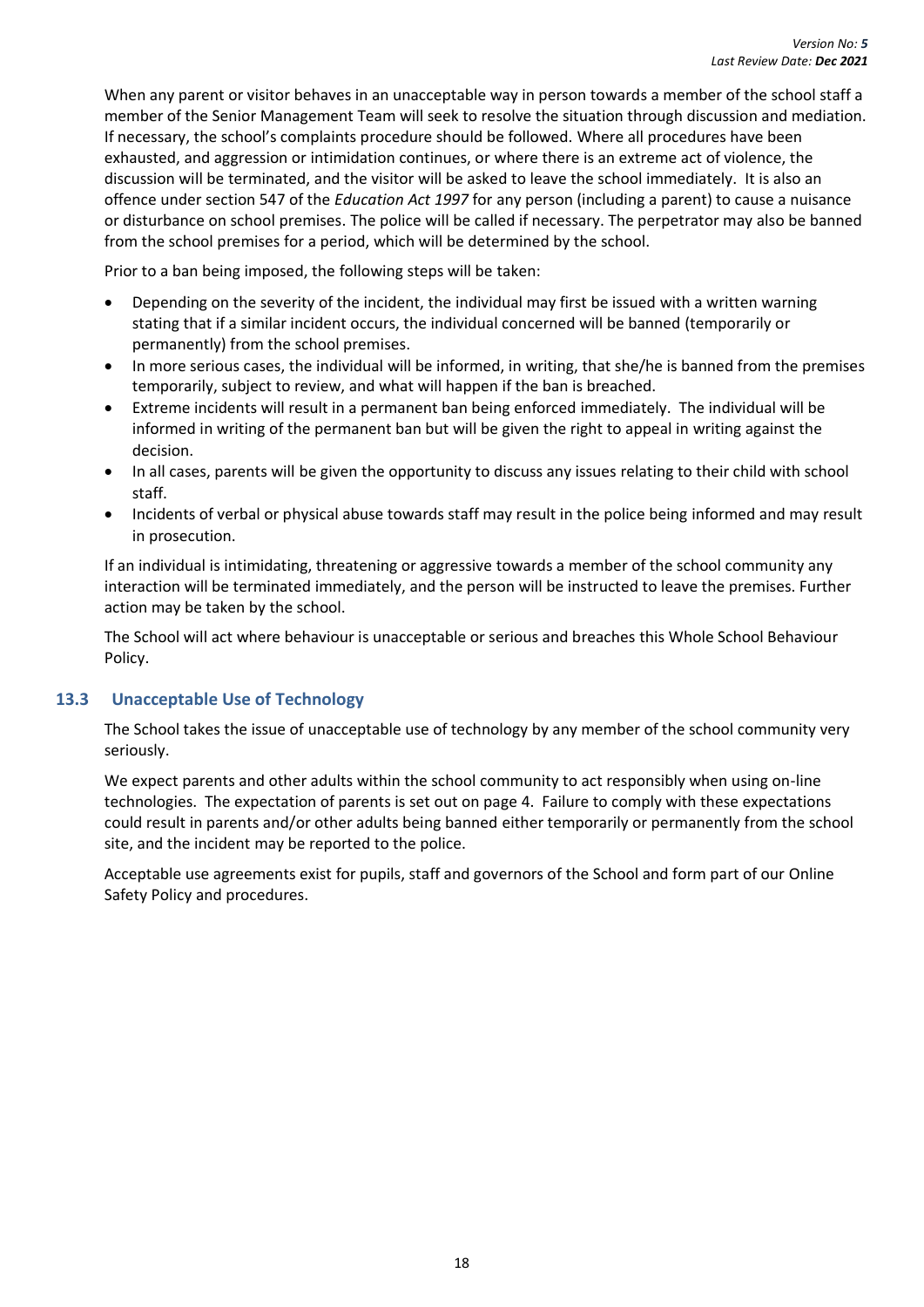When any parent or visitor behaves in an unacceptable way in person towards a member of the school staff a member of the Senior Management Team will seek to resolve the situation through discussion and mediation. If necessary, the school's complaints procedure should be followed. Where all procedures have been exhausted, and aggression or intimidation continues, or where there is an extreme act of violence, the discussion will be terminated, and the visitor will be asked to leave the school immediately. It is also an offence under section 547 of the *Education Act 1997* for any person (including a parent) to cause a nuisance or disturbance on school premises. The police will be called if necessary. The perpetrator may also be banned from the school premises for a period, which will be determined by the school.

Prior to a ban being imposed, the following steps will be taken:

- Depending on the severity of the incident, the individual may first be issued with a written warning stating that if a similar incident occurs, the individual concerned will be banned (temporarily or permanently) from the school premises.
- In more serious cases, the individual will be informed, in writing, that she/he is banned from the premises temporarily, subject to review, and what will happen if the ban is breached.
- Extreme incidents will result in a permanent ban being enforced immediately. The individual will be informed in writing of the permanent ban but will be given the right to appeal in writing against the decision.
- In all cases, parents will be given the opportunity to discuss any issues relating to their child with school staff.
- Incidents of verbal or physical abuse towards staff may result in the police being informed and may result in prosecution.

If an individual is intimidating, threatening or aggressive towards a member of the school community any interaction will be terminated immediately, and the person will be instructed to leave the premises. Further action may be taken by the school.

The School will act where behaviour is unacceptable or serious and breaches this Whole School Behaviour Policy.

#### <span id="page-24-0"></span>**13.3 Unacceptable Use of Technology**

The School takes the issue of unacceptable use of technology by any member of the school community very seriously.

We expect parents and other adults within the school community to act responsibly when using on-line technologies. The expectation of parents is set out on page 4. Failure to comply with these expectations could result in parents and/or other adults being banned either temporarily or permanently from the school site, and the incident may be reported to the police.

Acceptable use agreements exist for pupils, staff and governors of the School and form part of our Online Safety Policy and procedures.